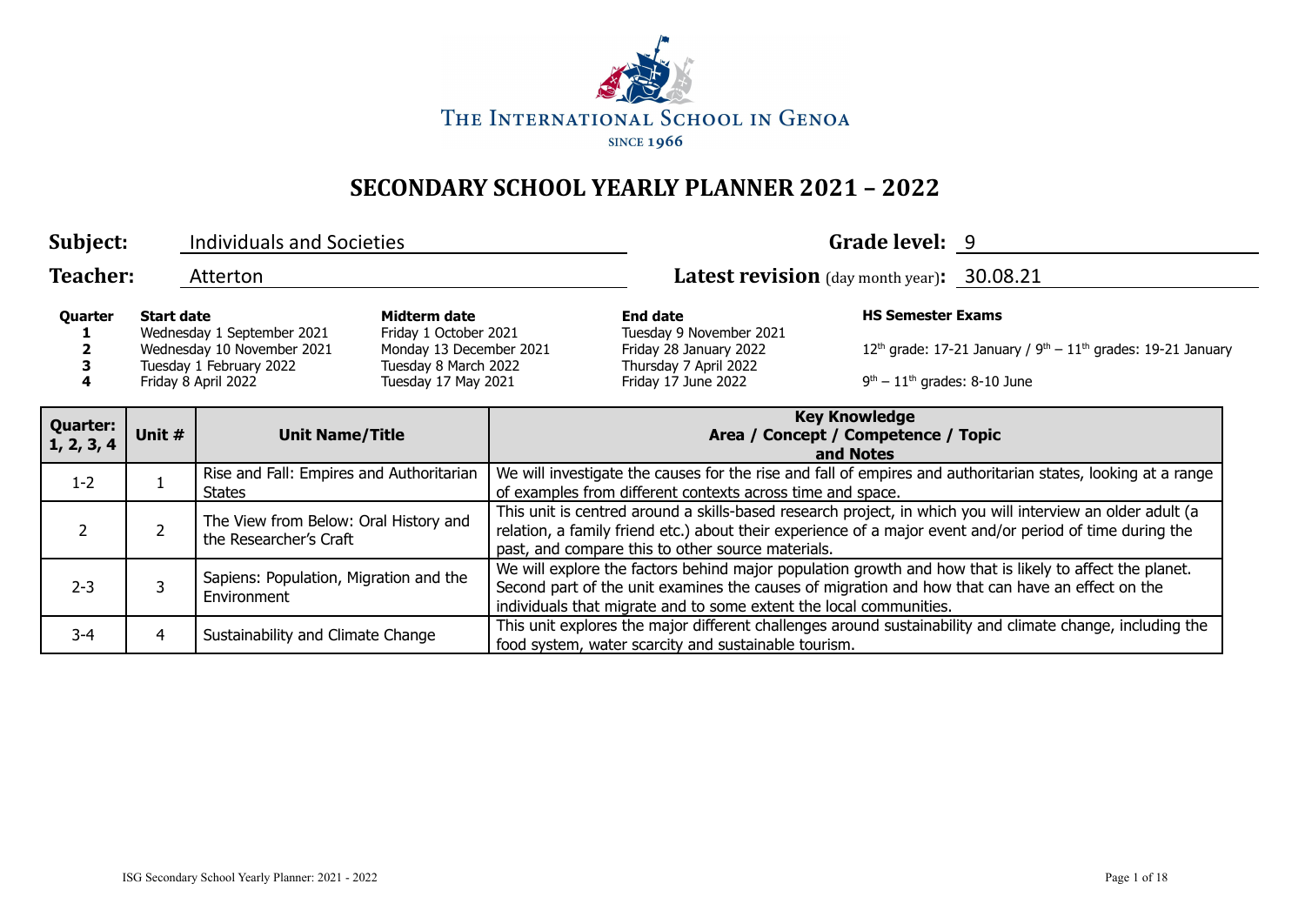

| Subject:                      |                   | <b>Individuals and Societies</b>                                                                           |                                                                                                                 |                                                                                                                                                                                                                                                                                  |                                                                                                                      | Grade level: 9                                             |                                                                                                           |
|-------------------------------|-------------------|------------------------------------------------------------------------------------------------------------|-----------------------------------------------------------------------------------------------------------------|----------------------------------------------------------------------------------------------------------------------------------------------------------------------------------------------------------------------------------------------------------------------------------|----------------------------------------------------------------------------------------------------------------------|------------------------------------------------------------|-----------------------------------------------------------------------------------------------------------|
| <b>Teacher:</b>               |                   | Atterton                                                                                                   |                                                                                                                 |                                                                                                                                                                                                                                                                                  | Latest revision (day month year): 30.08.21                                                                           |                                                            |                                                                                                           |
| Quarter                       | <b>Start date</b> | Wednesday 1 September 2021<br>Wednesday 10 November 2021<br>Tuesday 1 February 2022<br>Friday 8 April 2022 | Midterm date<br>Friday 1 October 2021<br>Monday 13 December 2021<br>Tuesday 8 March 2022<br>Tuesday 17 May 2021 |                                                                                                                                                                                                                                                                                  | <b>End date</b><br>Tuesday 9 November 2021<br>Friday 28 January 2022<br>Thursday 7 April 2022<br>Friday 17 June 2022 | <b>HS Semester Exams</b><br>$9th - 11th$ grades: 8-10 June | $12th$ grade: 17-21 January / 9 <sup>th</sup> – $11th$ grades: 19-21 January                              |
| <b>Quarter:</b><br>1, 2, 3, 4 | Unit #            | <b>Unit Name/Title</b>                                                                                     |                                                                                                                 | <b>Key Knowledge</b><br>Area / Concept / Competence / Topic<br>and Notes                                                                                                                                                                                                         |                                                                                                                      |                                                            |                                                                                                           |
| $1 - 2$                       |                   | Rise and Fall: Empires and Authoritarian<br>States                                                         |                                                                                                                 | We will investigate the causes for the rise and fall of empires and authoritarian states, looking at a range<br>of examples from different contexts across time and space.                                                                                                       |                                                                                                                      |                                                            |                                                                                                           |
| 2                             | $\overline{2}$    | The View from Below: Oral History and<br>the Researcher's Craft                                            |                                                                                                                 | This unit is centred around a skills-based research project, in which you will interview an older adult (a<br>relation, a family friend etc.) about their experience of a major event and/or period of time during the<br>past, and compare this to other source materials.      |                                                                                                                      |                                                            |                                                                                                           |
| $2 - 3$                       | 3                 | Sapiens: Population, Migration and the<br>Environment                                                      |                                                                                                                 | We will explore the factors behind major population growth and how that is likely to affect the planet.<br>Second part of the unit examines the causes of migration and how that can have an effect on the<br>individuals that migrate and to some extent the local communities. |                                                                                                                      |                                                            |                                                                                                           |
| 3-4                           | 4                 | Sustainability and Climate Change                                                                          |                                                                                                                 |                                                                                                                                                                                                                                                                                  | food system, water scarcity and sustainable tourism.                                                                 |                                                            | This unit explores the major different challenges around sustainability and climate change, including the |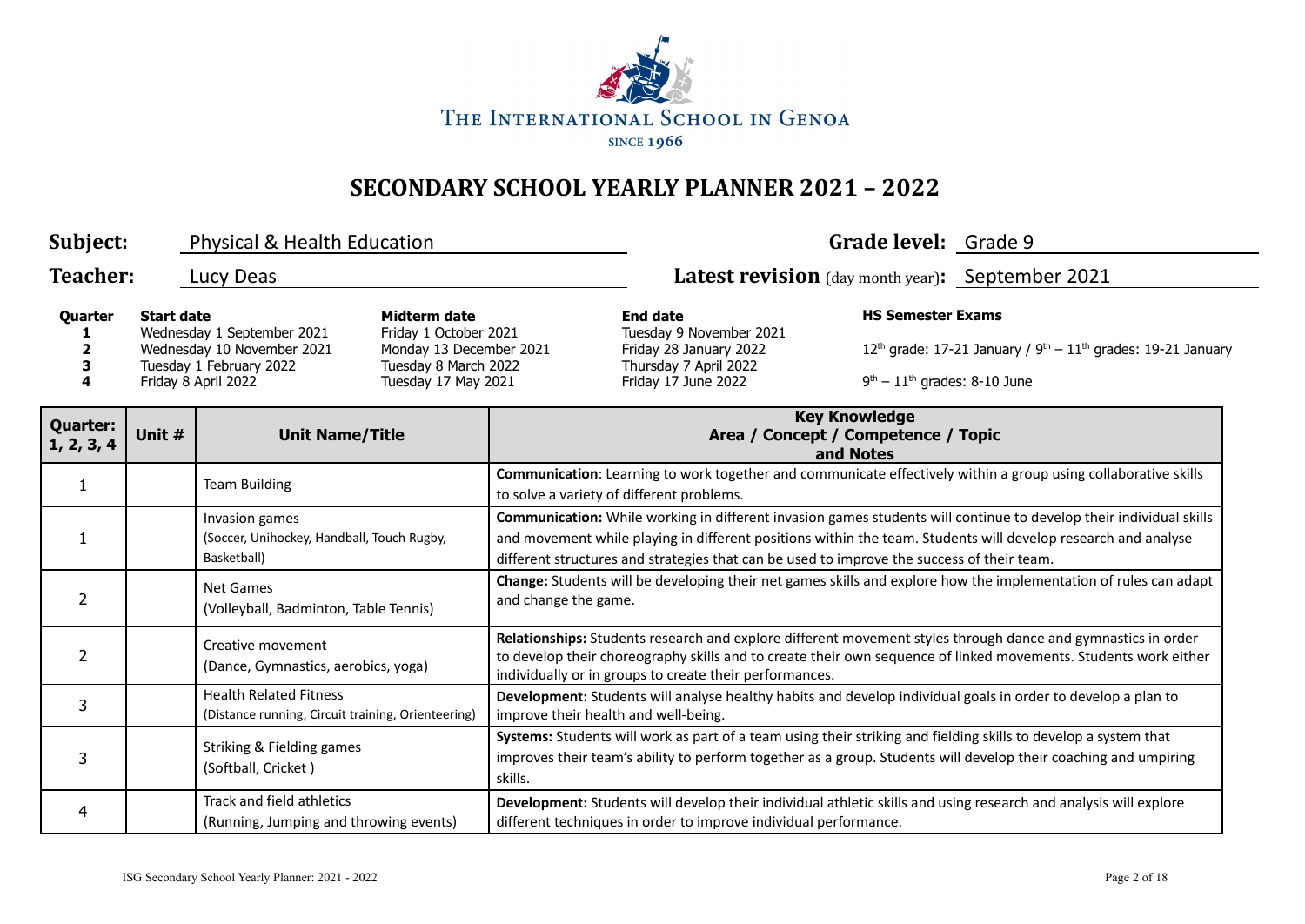

| Subject:                                                                                                                                                                                                                                                                     |                                  | Physical & Health Education                                                         |                                                                                                                      |                                                                                                                                                                                                                                                                                                                                   |                                                                  | Grade level: Grade 9                                                     |                                                                                                                                                                                                                                    |
|------------------------------------------------------------------------------------------------------------------------------------------------------------------------------------------------------------------------------------------------------------------------------|----------------------------------|-------------------------------------------------------------------------------------|----------------------------------------------------------------------------------------------------------------------|-----------------------------------------------------------------------------------------------------------------------------------------------------------------------------------------------------------------------------------------------------------------------------------------------------------------------------------|------------------------------------------------------------------|--------------------------------------------------------------------------|------------------------------------------------------------------------------------------------------------------------------------------------------------------------------------------------------------------------------------|
| <b>Teacher:</b>                                                                                                                                                                                                                                                              |                                  | Lucy Deas                                                                           |                                                                                                                      |                                                                                                                                                                                                                                                                                                                                   | Latest revision (day month year): September 2021                 |                                                                          |                                                                                                                                                                                                                                    |
| <b>Start date</b><br>Midterm date<br>Quarter<br>Friday 1 October 2021<br>Wednesday 1 September 2021<br>Wednesday 10 November 2021<br>Monday 13 December 2021<br>2<br>Tuesday 1 February 2022<br>Tuesday 8 March 2022<br>3<br>Tuesday 17 May 2021<br>Friday 8 April 2022<br>4 |                                  |                                                                                     | <b>End date</b><br>Tuesday 9 November 2021<br>Friday 28 January 2022<br>Thursday 7 April 2022<br>Friday 17 June 2022 | <b>HS Semester Exams</b><br>$9th - 11th$ grades: 8-10 June                                                                                                                                                                                                                                                                        | $12th$ grade: 17-21 January / $9th - 11th$ grades: 19-21 January |                                                                          |                                                                                                                                                                                                                                    |
| <b>Quarter:</b><br>1, 2, 3, 4                                                                                                                                                                                                                                                | Unit #<br><b>Unit Name/Title</b> |                                                                                     |                                                                                                                      |                                                                                                                                                                                                                                                                                                                                   |                                                                  | <b>Key Knowledge</b><br>Area / Concept / Competence / Topic<br>and Notes |                                                                                                                                                                                                                                    |
| $\mathbf{1}$                                                                                                                                                                                                                                                                 |                                  | <b>Team Building</b>                                                                |                                                                                                                      | Communication: Learning to work together and communicate effectively within a group using collaborative skills<br>to solve a variety of different problems.                                                                                                                                                                       |                                                                  |                                                                          |                                                                                                                                                                                                                                    |
|                                                                                                                                                                                                                                                                              |                                  | Invasion games<br>(Soccer, Unihockey, Handball, Touch Rugby,<br>Basketball)         |                                                                                                                      | Communication: While working in different invasion games students will continue to develop their individual skills<br>and movement while playing in different positions within the team. Students will develop research and analyse<br>different structures and strategies that can be used to improve the success of their team. |                                                                  |                                                                          |                                                                                                                                                                                                                                    |
| $\overline{2}$                                                                                                                                                                                                                                                               |                                  | <b>Net Games</b><br>(Volleyball, Badminton, Table Tennis)                           |                                                                                                                      | and change the game.                                                                                                                                                                                                                                                                                                              |                                                                  |                                                                          | Change: Students will be developing their net games skills and explore how the implementation of rules can adapt                                                                                                                   |
| $\overline{2}$                                                                                                                                                                                                                                                               |                                  | Creative movement<br>(Dance, Gymnastics, aerobics, yoga)                            |                                                                                                                      | Relationships: Students research and explore different movement styles through dance and gymnastics in order<br>to develop their choreography skills and to create their own sequence of linked movements. Students work either<br>individually or in groups to create their performances.                                        |                                                                  |                                                                          |                                                                                                                                                                                                                                    |
| 3                                                                                                                                                                                                                                                                            |                                  | <b>Health Related Fitness</b><br>(Distance running, Circuit training, Orienteering) |                                                                                                                      | improve their health and well-being.                                                                                                                                                                                                                                                                                              |                                                                  |                                                                          | Development: Students will analyse healthy habits and develop individual goals in order to develop a plan to                                                                                                                       |
| 3                                                                                                                                                                                                                                                                            |                                  | Striking & Fielding games<br>(Softball, Cricket)                                    |                                                                                                                      | skills.                                                                                                                                                                                                                                                                                                                           |                                                                  |                                                                          | Systems: Students will work as part of a team using their striking and fielding skills to develop a system that<br>improves their team's ability to perform together as a group. Students will develop their coaching and umpiring |
| 4                                                                                                                                                                                                                                                                            |                                  | Track and field athletics<br>(Running, Jumping and throwing events)                 |                                                                                                                      |                                                                                                                                                                                                                                                                                                                                   | different techniques in order to improve individual performance. |                                                                          | Development: Students will develop their individual athletic skills and using research and analysis will explore                                                                                                                   |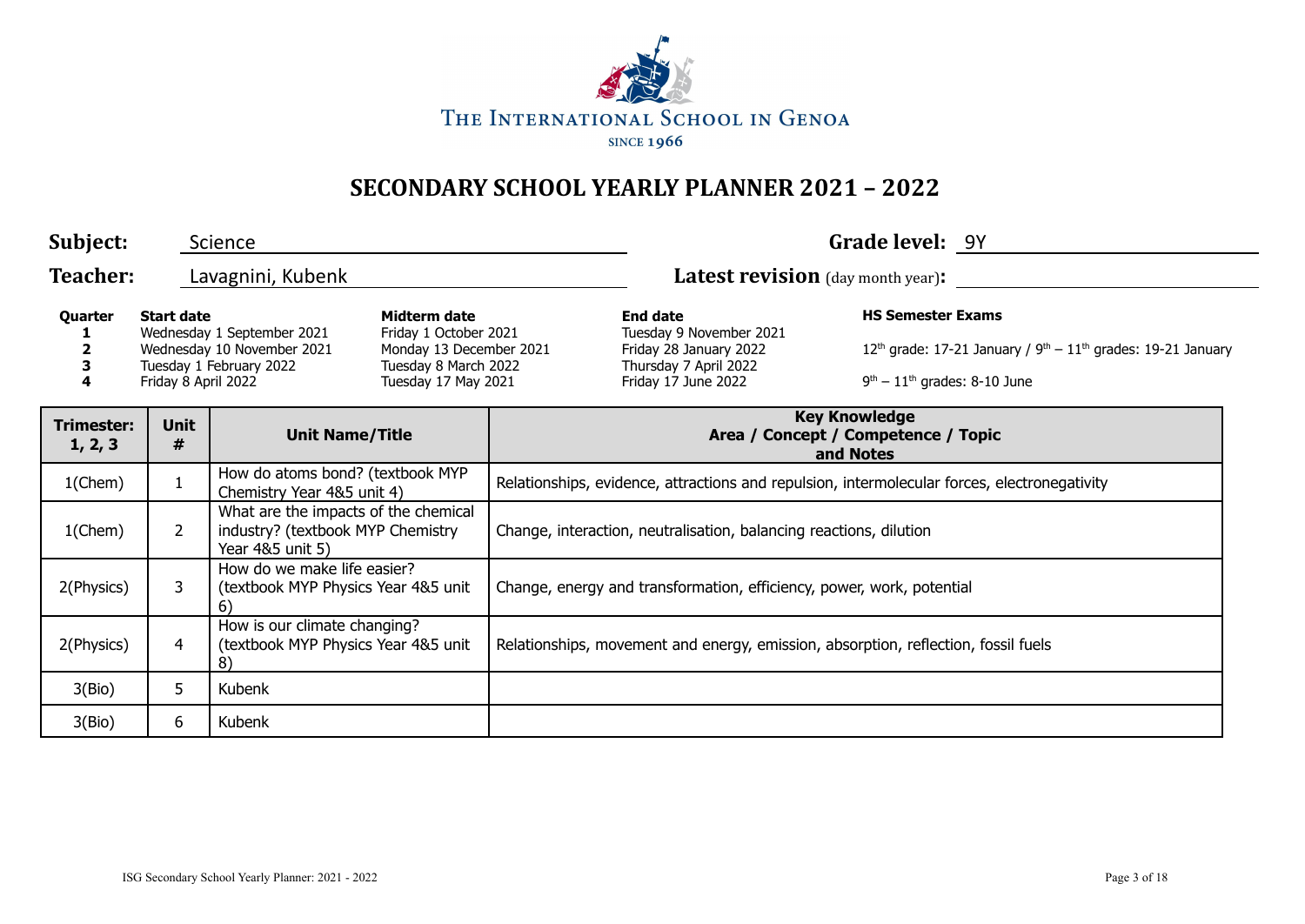

| Subject:                                                                                                                                                                                                                                                                                   |                  | Science                                                                                           |                                                                                                                                |                                                                                              |                                                                          | Grade level: 9Y                                                                    |  |
|--------------------------------------------------------------------------------------------------------------------------------------------------------------------------------------------------------------------------------------------------------------------------------------------|------------------|---------------------------------------------------------------------------------------------------|--------------------------------------------------------------------------------------------------------------------------------|----------------------------------------------------------------------------------------------|--------------------------------------------------------------------------|------------------------------------------------------------------------------------|--|
| <b>Teacher:</b>                                                                                                                                                                                                                                                                            |                  | Lavagnini, Kubenk                                                                                 |                                                                                                                                |                                                                                              | <b>Latest revision</b> (day month year):                                 |                                                                                    |  |
| Midterm date<br><b>End date</b><br><b>Start date</b><br>Quarter<br>Wednesday 1 September 2021<br>Friday 1 October 2021<br>Wednesday 10 November 2021<br>Monday 13 December 2021<br>Tuesday 1 February 2022<br>Tuesday 8 March 2022<br>з<br>Friday 8 April 2022<br>Tuesday 17 May 2021<br>4 |                  | Tuesday 9 November 2021<br>Friday 28 January 2022<br>Thursday 7 April 2022<br>Friday 17 June 2022 | <b>HS Semester Exams</b><br>$12th$ grade: 17-21 January / $9th - 11th$ grades: 19-21 January<br>$9th - 11th$ grades: 8-10 June |                                                                                              |                                                                          |                                                                                    |  |
| <b>Trimester:</b><br>1, 2, 3                                                                                                                                                                                                                                                               | <b>Unit</b><br># | <b>Unit Name/Title</b>                                                                            |                                                                                                                                |                                                                                              | <b>Key Knowledge</b><br>Area / Concept / Competence / Topic<br>and Notes |                                                                                    |  |
| $1$ (Chem)                                                                                                                                                                                                                                                                                 | $\mathbf{1}$     | How do atoms bond? (textbook MYP<br>Chemistry Year 4&5 unit 4)                                    |                                                                                                                                | Relationships, evidence, attractions and repulsion, intermolecular forces, electronegativity |                                                                          |                                                                                    |  |
| $1$ (Chem)                                                                                                                                                                                                                                                                                 | $\overline{2}$   | What are the impacts of the chemical<br>industry? (textbook MYP Chemistry<br>Year 4&5 unit 5)     |                                                                                                                                | Change, interaction, neutralisation, balancing reactions, dilution                           |                                                                          |                                                                                    |  |
| 2(Physics)                                                                                                                                                                                                                                                                                 | 3                | How do we make life easier?<br>(textbook MYP Physics Year 4&5 unit<br>6)                          |                                                                                                                                |                                                                                              | Change, energy and transformation, efficiency, power, work, potential    |                                                                                    |  |
| 2(Physics)                                                                                                                                                                                                                                                                                 | 4                | How is our climate changing?<br>(textbook MYP Physics Year 4&5 unit<br>8)                         |                                                                                                                                |                                                                                              |                                                                          | Relationships, movement and energy, emission, absorption, reflection, fossil fuels |  |
| 3(Bio)                                                                                                                                                                                                                                                                                     | 5                | Kubenk                                                                                            |                                                                                                                                |                                                                                              |                                                                          |                                                                                    |  |
| 3(Bio)                                                                                                                                                                                                                                                                                     | 6                | Kubenk                                                                                            |                                                                                                                                |                                                                                              |                                                                          |                                                                                    |  |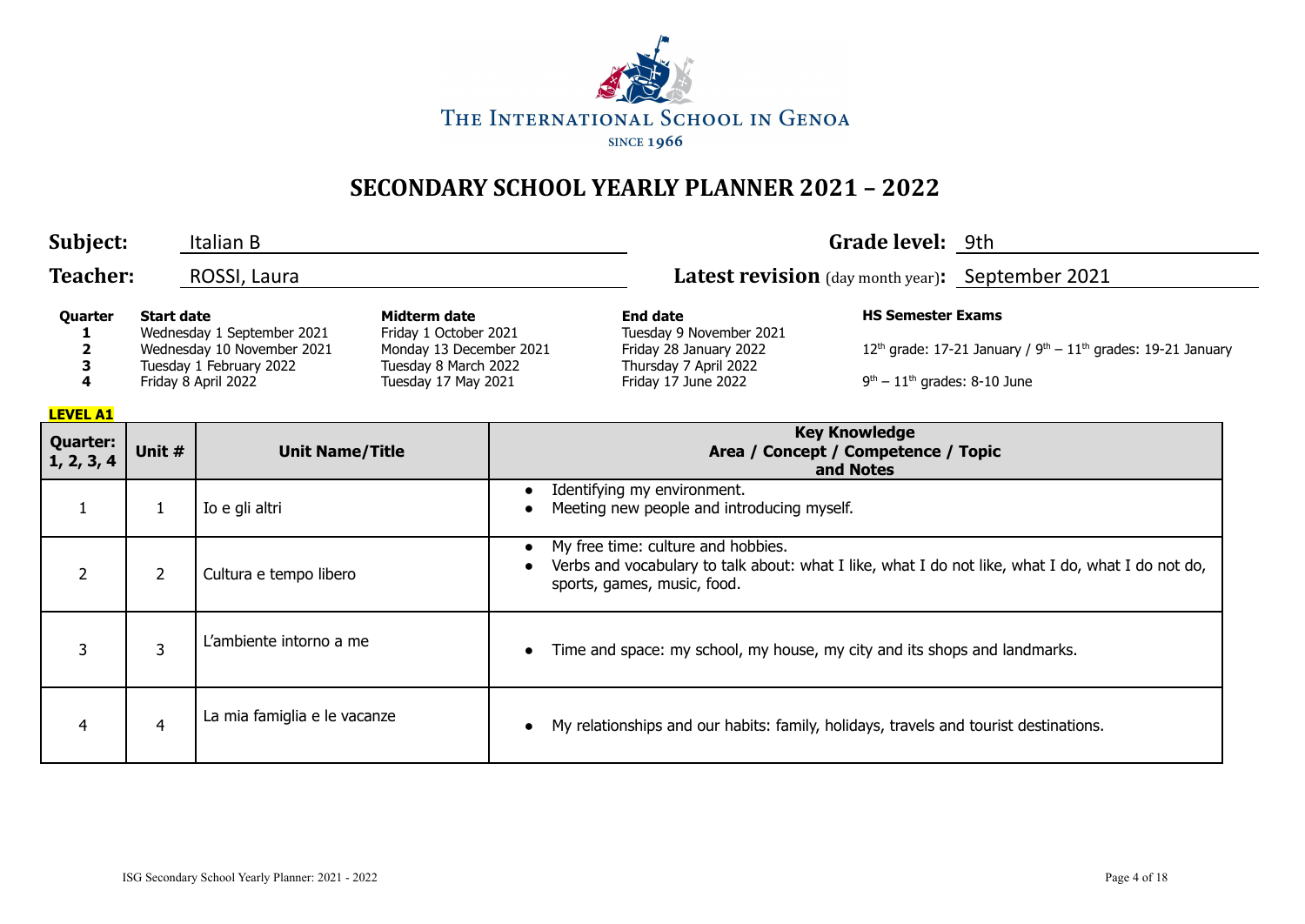

| Subject:                      |                   | Italian B                                                                                                  |                                                                                                                 |                                                                                                                      | Grade level: 9th                                           |                                                                                                   |
|-------------------------------|-------------------|------------------------------------------------------------------------------------------------------------|-----------------------------------------------------------------------------------------------------------------|----------------------------------------------------------------------------------------------------------------------|------------------------------------------------------------|---------------------------------------------------------------------------------------------------|
| <b>Teacher:</b>               |                   | ROSSI, Laura                                                                                               |                                                                                                                 | Latest revision (day month year): September 2021                                                                     |                                                            |                                                                                                   |
| Quarter<br><b>LEVEL A1</b>    | <b>Start date</b> | Wednesday 1 September 2021<br>Wednesday 10 November 2021<br>Tuesday 1 February 2022<br>Friday 8 April 2022 | Midterm date<br>Friday 1 October 2021<br>Monday 13 December 2021<br>Tuesday 8 March 2022<br>Tuesday 17 May 2021 | <b>End date</b><br>Tuesday 9 November 2021<br>Friday 28 January 2022<br>Thursday 7 April 2022<br>Friday 17 June 2022 | <b>HS Semester Exams</b><br>$9th - 11th$ grades: 8-10 June | 12 <sup>th</sup> grade: 17-21 January / $9th - 11th$ grades: 19-21 January                        |
| <b>Quarter:</b><br>1, 2, 3, 4 | Unit #            | <b>Unit Name/Title</b>                                                                                     |                                                                                                                 | <b>Key Knowledge</b><br>Area / Concept / Competence / Topic<br>and Notes                                             |                                                            |                                                                                                   |
| $\mathbf{1}$                  | 1                 | Io e gli altri                                                                                             |                                                                                                                 | Identifying my environment.<br>Meeting new people and introducing myself.                                            |                                                            |                                                                                                   |
| $\overline{2}$                | $\overline{2}$    | Cultura e tempo libero                                                                                     |                                                                                                                 | My free time: culture and hobbies.<br>sports, games, music, food.                                                    |                                                            | Verbs and vocabulary to talk about: what I like, what I do not like, what I do, what I do not do, |
| 3                             | 3                 | L'ambiente intorno a me                                                                                    |                                                                                                                 | Time and space: my school, my house, my city and its shops and landmarks.                                            |                                                            |                                                                                                   |
| 4                             | $\overline{4}$    | La mia famiglia e le vacanze                                                                               |                                                                                                                 | My relationships and our habits: family, holidays, travels and tourist destinations.                                 |                                                            |                                                                                                   |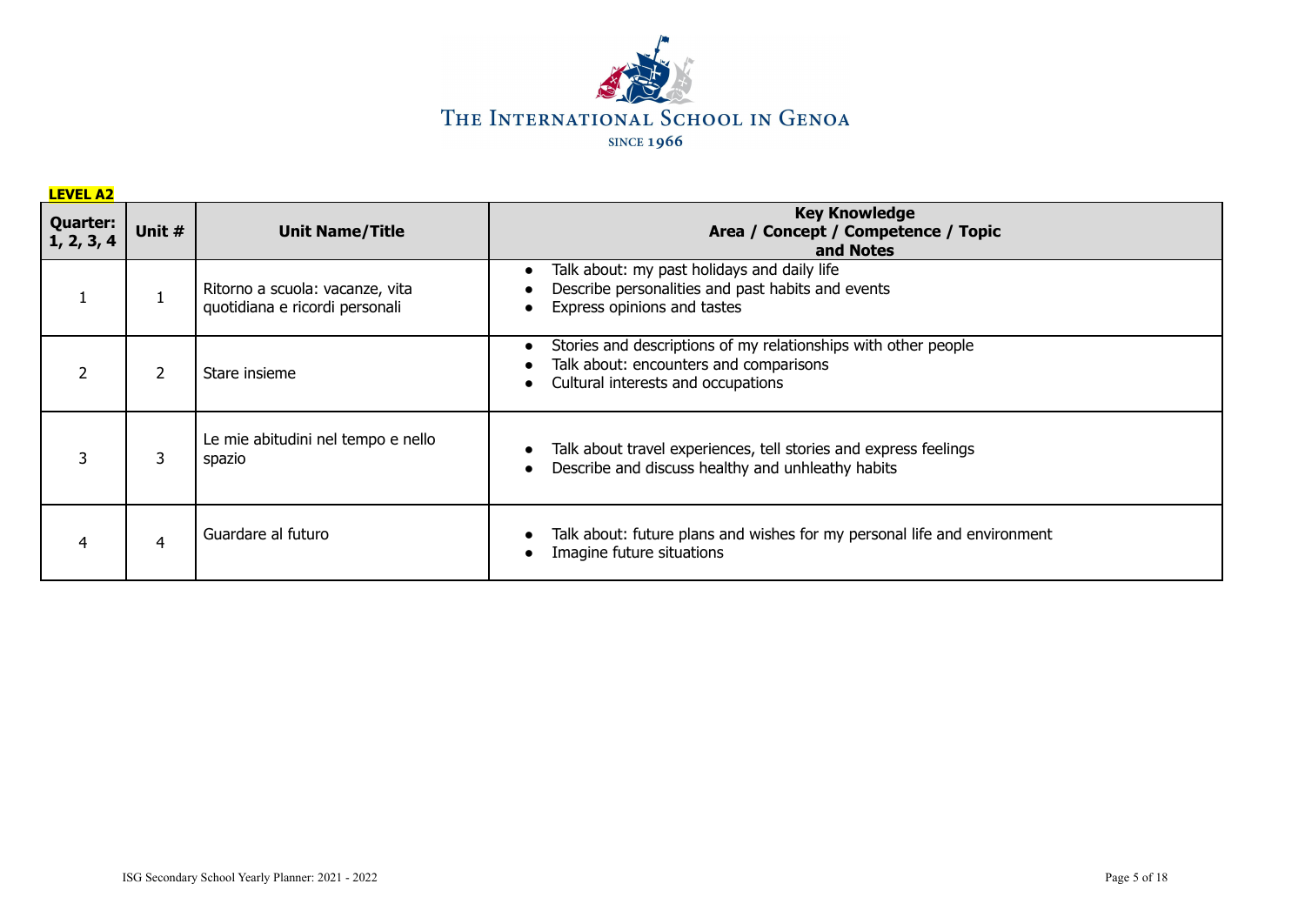

| <b>LEVEL A2</b>               |        |                                                                   |                                                                                                                                                |
|-------------------------------|--------|-------------------------------------------------------------------|------------------------------------------------------------------------------------------------------------------------------------------------|
| <b>Quarter:</b><br>1, 2, 3, 4 | Unit # | <b>Unit Name/Title</b>                                            | <b>Key Knowledge</b><br>Area / Concept / Competence / Topic<br>and Notes                                                                       |
|                               |        | Ritorno a scuola: vacanze, vita<br>quotidiana e ricordi personali | Talk about: my past holidays and daily life<br>Describe personalities and past habits and events<br>Express opinions and tastes                |
|                               | 2      | Stare insieme                                                     | Stories and descriptions of my relationships with other people<br>Talk about: encounters and comparisons<br>Cultural interests and occupations |
| 3                             | 3      | Le mie abitudini nel tempo e nello<br>spazio                      | Talk about travel experiences, tell stories and express feelings<br>Describe and discuss healthy and unhleathy habits                          |
| 4                             | 4      | Guardare al futuro                                                | Talk about: future plans and wishes for my personal life and environment<br>Imagine future situations                                          |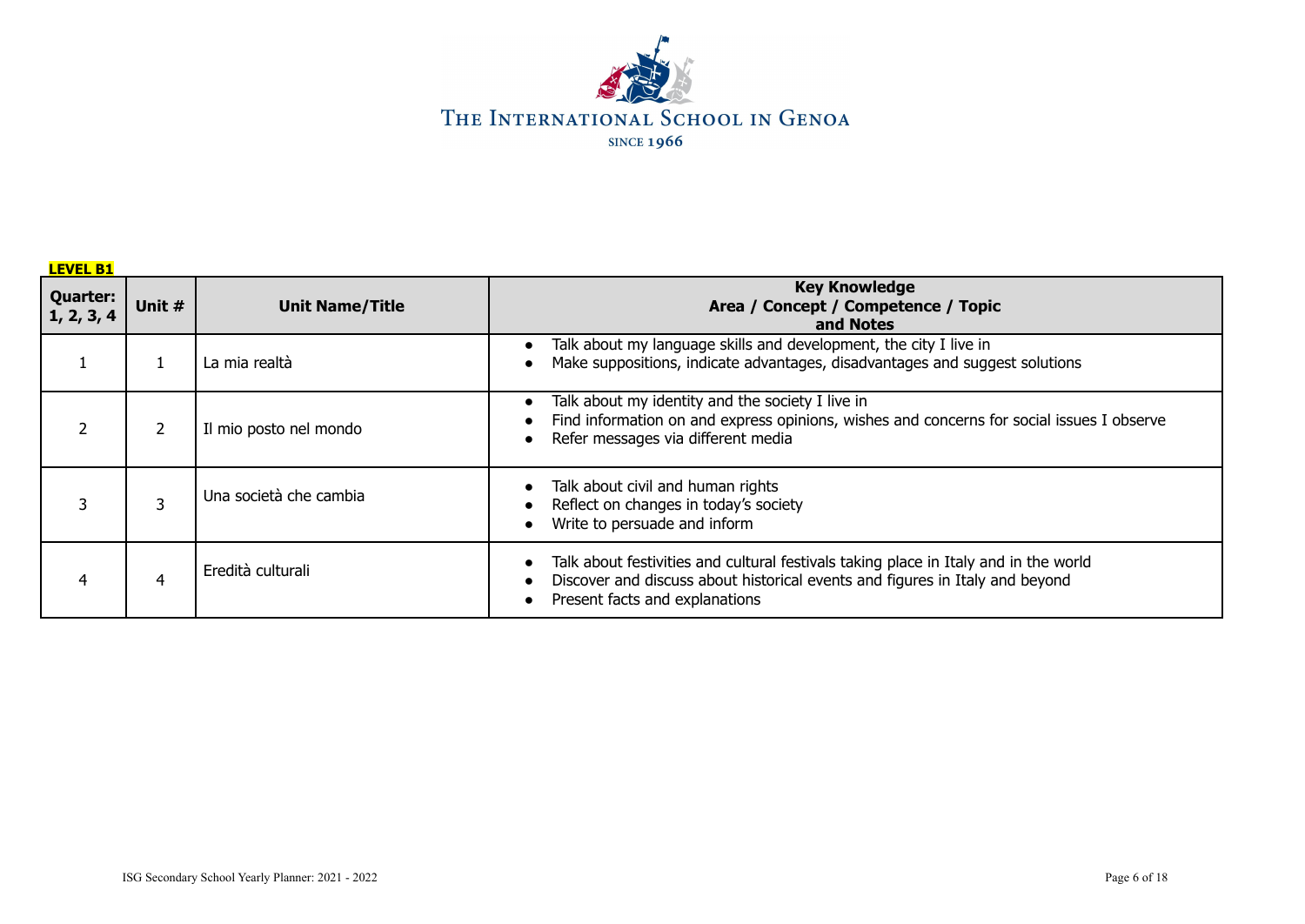

| <b>LEVEL B1</b>                |                |                        |                                                                                                                                                                                                        |  |  |  |  |  |
|--------------------------------|----------------|------------------------|--------------------------------------------------------------------------------------------------------------------------------------------------------------------------------------------------------|--|--|--|--|--|
| <b>Quarter:</b><br> 1, 2, 3, 4 | Unit #         | <b>Unit Name/Title</b> | <b>Key Knowledge</b><br>Area / Concept / Competence / Topic<br>and Notes                                                                                                                               |  |  |  |  |  |
|                                |                | La mia realtà          | Talk about my language skills and development, the city I live in<br>Make suppositions, indicate advantages, disadvantages and suggest solutions                                                       |  |  |  |  |  |
|                                | 2              | Il mio posto nel mondo | Talk about my identity and the society I live in<br>Find information on and express opinions, wishes and concerns for social issues I observe<br>Refer messages via different media                    |  |  |  |  |  |
|                                | 3              | Una società che cambia | Talk about civil and human rights<br>Reflect on changes in today's society<br>Write to persuade and inform                                                                                             |  |  |  |  |  |
| 4                              | $\overline{4}$ | Eredità culturali      | Talk about festivities and cultural festivals taking place in Italy and in the world<br>Discover and discuss about historical events and figures in Italy and beyond<br>Present facts and explanations |  |  |  |  |  |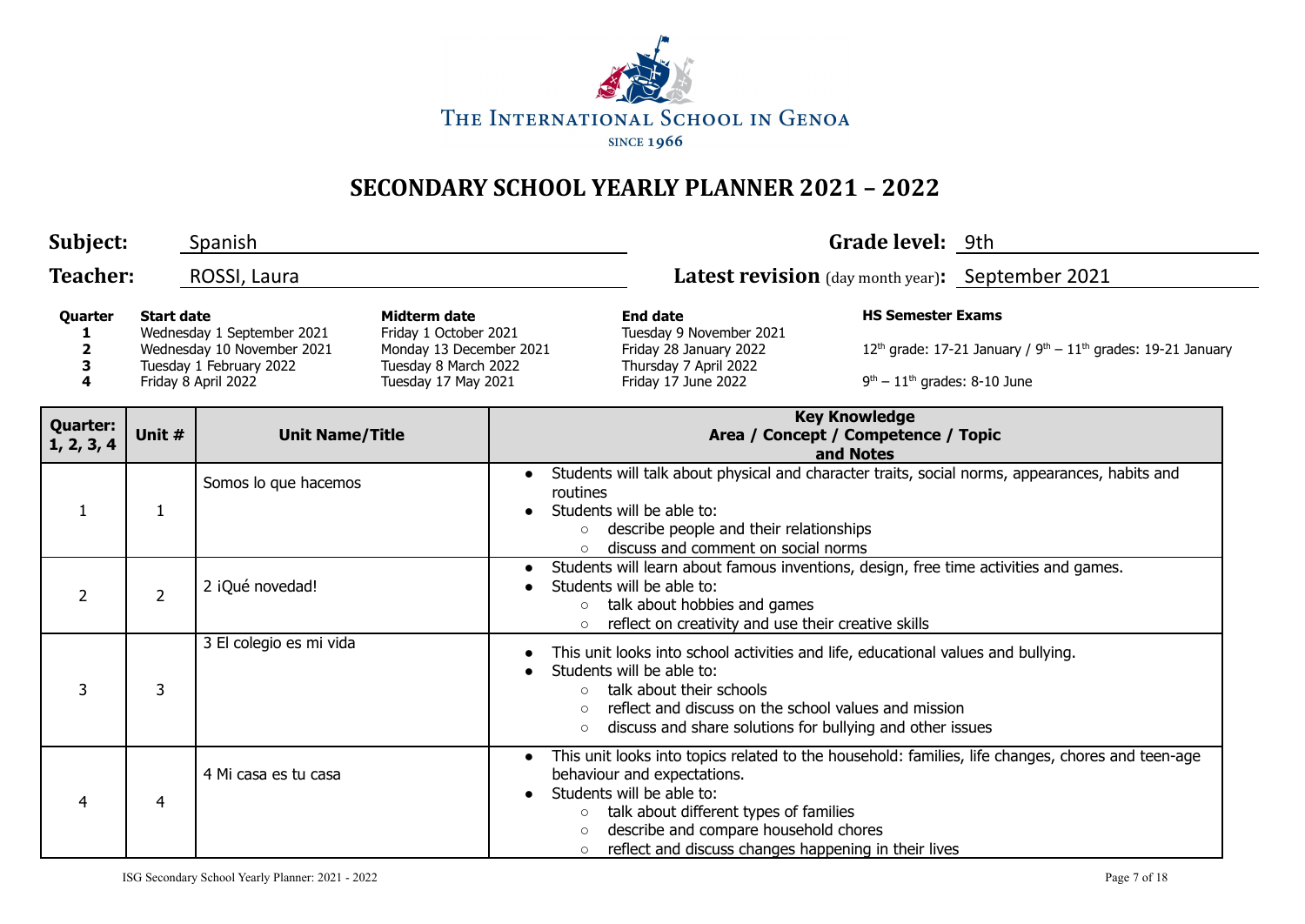

| Subject:                                                                                                                                                                                                                                                                                         |                | Spanish                 |                                                                                                                      |                                                                                                                                                                                                                                                                                       | Grade level: 9th                                                                                                                                                                                         |  |                                                                                                   |  |
|--------------------------------------------------------------------------------------------------------------------------------------------------------------------------------------------------------------------------------------------------------------------------------------------------|----------------|-------------------------|----------------------------------------------------------------------------------------------------------------------|---------------------------------------------------------------------------------------------------------------------------------------------------------------------------------------------------------------------------------------------------------------------------------------|----------------------------------------------------------------------------------------------------------------------------------------------------------------------------------------------------------|--|---------------------------------------------------------------------------------------------------|--|
| <b>Teacher:</b>                                                                                                                                                                                                                                                                                  |                | ROSSI, Laura            |                                                                                                                      |                                                                                                                                                                                                                                                                                       | Latest revision (day month year): September 2021                                                                                                                                                         |  |                                                                                                   |  |
| <b>Start date</b><br><b>Midterm date</b><br>Quarter<br>Wednesday 1 September 2021<br>Friday 1 October 2021<br>Wednesday 10 November 2021<br>Monday 13 December 2021<br>$\overline{2}$<br>3<br>Tuesday 1 February 2022<br>Tuesday 8 March 2022<br>4<br>Friday 8 April 2022<br>Tuesday 17 May 2021 |                |                         | <b>End date</b><br>Tuesday 9 November 2021<br>Friday 28 January 2022<br>Thursday 7 April 2022<br>Friday 17 June 2022 | <b>HS Semester Exams</b><br>$9th - 11th$ grades: 8-10 June                                                                                                                                                                                                                            | $12th$ grade: 17-21 January / $9th - 11th$ grades: 19-21 January                                                                                                                                         |  |                                                                                                   |  |
| <b>Quarter:</b><br>1, 2, 3, 4                                                                                                                                                                                                                                                                    | Unit #         | <b>Unit Name/Title</b>  |                                                                                                                      |                                                                                                                                                                                                                                                                                       | <b>Key Knowledge</b><br>Area / Concept / Competence / Topic<br>and Notes                                                                                                                                 |  |                                                                                                   |  |
| 1                                                                                                                                                                                                                                                                                                | 1              | Somos lo que hacemos    |                                                                                                                      | routines<br>$\circ$<br>$\circ$                                                                                                                                                                                                                                                        | Students will be able to:<br>describe people and their relationships<br>discuss and comment on social norms                                                                                              |  | Students will talk about physical and character traits, social norms, appearances, habits and     |  |
| $\overline{2}$                                                                                                                                                                                                                                                                                   | $\overline{2}$ | 2 iQué novedad!         |                                                                                                                      | $\bullet$<br>$\circ$                                                                                                                                                                                                                                                                  | Students will learn about famous inventions, design, free time activities and games.<br>Students will be able to:<br>talk about hobbies and games<br>reflect on creativity and use their creative skills |  |                                                                                                   |  |
| 3                                                                                                                                                                                                                                                                                                | 3              | 3 El colegio es mi vida |                                                                                                                      | This unit looks into school activities and life, educational values and bullying.<br>Students will be able to:<br>talk about their schools<br>$\circ$<br>reflect and discuss on the school values and mission<br>discuss and share solutions for bullying and other issues<br>$\circ$ |                                                                                                                                                                                                          |  |                                                                                                   |  |
| 4                                                                                                                                                                                                                                                                                                | 4              | 4 Mi casa es tu casa    |                                                                                                                      | $\bullet$<br>$\circ$<br>$\circ$                                                                                                                                                                                                                                                       | behaviour and expectations.<br>Students will be able to:<br>talk about different types of families<br>describe and compare household chores<br>reflect and discuss changes happening in their lives      |  | This unit looks into topics related to the household: families, life changes, chores and teen-age |  |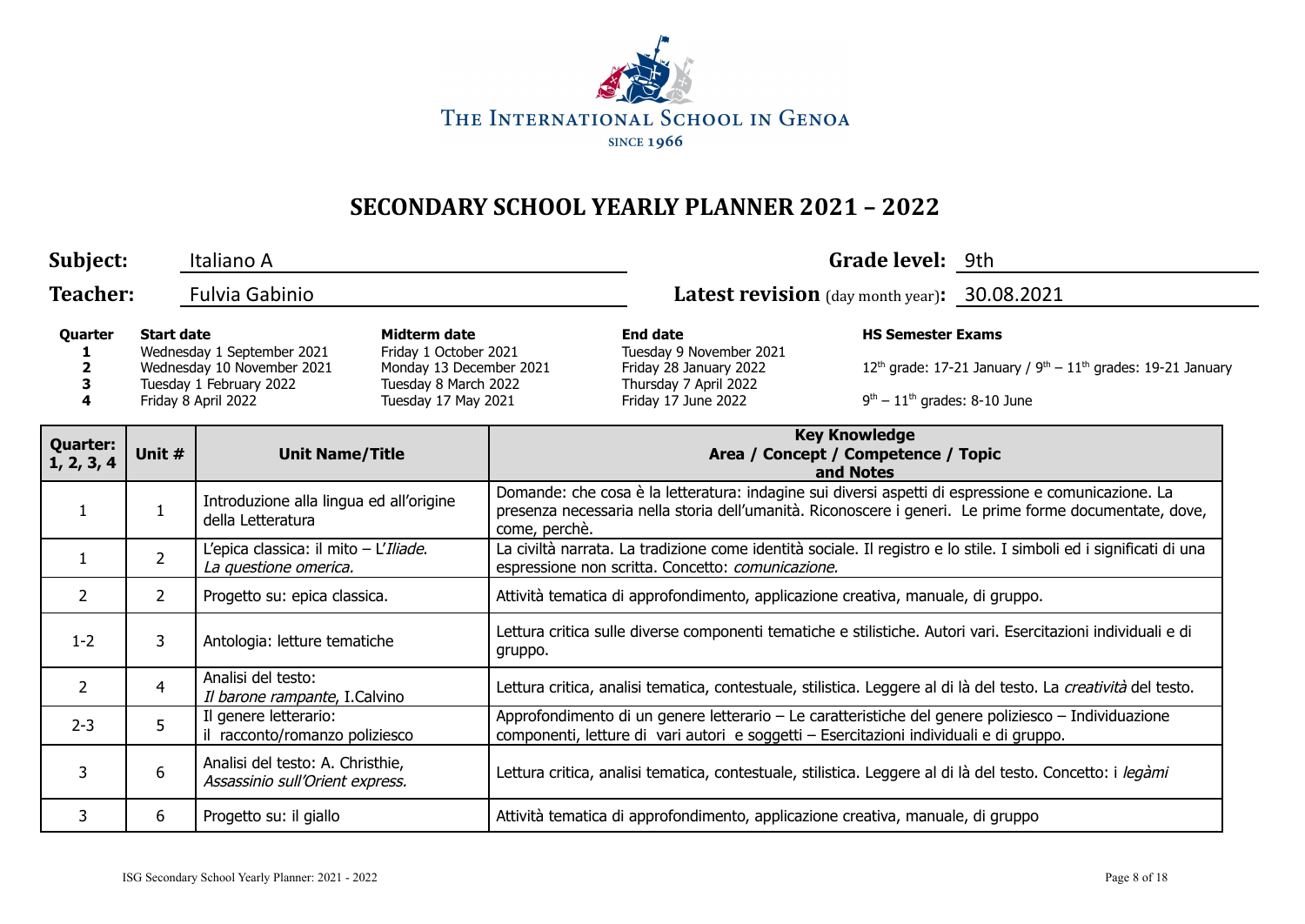

| Subject:                      |                                                                                                                                                                                                                                                    | Italiano A                                                          |  |                                                                                                                                                                         |                                                                                                                                                                                                                                | Grade level: 9th                                                 |                                                                                                     |
|-------------------------------|----------------------------------------------------------------------------------------------------------------------------------------------------------------------------------------------------------------------------------------------------|---------------------------------------------------------------------|--|-------------------------------------------------------------------------------------------------------------------------------------------------------------------------|--------------------------------------------------------------------------------------------------------------------------------------------------------------------------------------------------------------------------------|------------------------------------------------------------------|-----------------------------------------------------------------------------------------------------|
| <b>Teacher:</b>               |                                                                                                                                                                                                                                                    | <b>Fulvia Gabinio</b>                                               |  |                                                                                                                                                                         | Latest revision (day month year): 30.08.2021                                                                                                                                                                                   |                                                                  |                                                                                                     |
| Quarter<br>2<br>3             | Midterm date<br><b>Start date</b><br>Wednesday 1 September 2021<br>Friday 1 October 2021<br>Wednesday 10 November 2021<br>Monday 13 December 2021<br>Tuesday 1 February 2022<br>Tuesday 8 March 2022<br>Friday 8 April 2022<br>Tuesday 17 May 2021 |                                                                     |  | <b>End date</b><br>Tuesday 9 November 2021<br>Friday 28 January 2022<br>Thursday 7 April 2022<br>Friday 17 June 2022                                                    | <b>HS Semester Exams</b><br>$9th - 11th$ grades: 8-10 June                                                                                                                                                                     | $12th$ grade: 17-21 January / $9th - 11th$ grades: 19-21 January |                                                                                                     |
| <b>Quarter:</b><br>1, 2, 3, 4 | Unit #                                                                                                                                                                                                                                             | <b>Unit Name/Title</b>                                              |  |                                                                                                                                                                         | <b>Key Knowledge</b><br>Area / Concept / Competence / Topic<br>and Notes                                                                                                                                                       |                                                                  |                                                                                                     |
| $\mathbf{1}$                  | $\mathbf{1}$                                                                                                                                                                                                                                       | Introduzione alla lingua ed all'origine<br>della Letteratura        |  |                                                                                                                                                                         | Domande: che cosa è la letteratura: indagine sui diversi aspetti di espressione e comunicazione. La<br>presenza necessaria nella storia dell'umanità. Riconoscere i generi. Le prime forme documentate, dove,<br>come, perchè. |                                                                  |                                                                                                     |
| $\mathbf{1}$                  | $\overline{2}$                                                                                                                                                                                                                                     | L'epica classica: il mito - L'Iliade.<br>La questione omerica.      |  | La civiltà narrata. La tradizione come identità sociale. Il registro e lo stile. I simboli ed i significati di una<br>espressione non scritta. Concetto: comunicazione. |                                                                                                                                                                                                                                |                                                                  |                                                                                                     |
| 2                             | $\overline{2}$                                                                                                                                                                                                                                     | Progetto su: epica classica.                                        |  | Attività tematica di approfondimento, applicazione creativa, manuale, di gruppo.                                                                                        |                                                                                                                                                                                                                                |                                                                  |                                                                                                     |
| $1 - 2$                       | 3                                                                                                                                                                                                                                                  | Antologia: letture tematiche                                        |  | Lettura critica sulle diverse componenti tematiche e stilistiche. Autori vari. Esercitazioni individuali e di<br>gruppo.                                                |                                                                                                                                                                                                                                |                                                                  |                                                                                                     |
| $\overline{2}$                | 4                                                                                                                                                                                                                                                  | Analisi del testo:<br>Il barone rampante, I.Calvino                 |  | Lettura critica, analisi tematica, contestuale, stilistica. Leggere al di là del testo. La creatività del testo.                                                        |                                                                                                                                                                                                                                |                                                                  |                                                                                                     |
| $2 - 3$                       | 5                                                                                                                                                                                                                                                  | Il genere letterario:<br>il racconto/romanzo poliziesco             |  |                                                                                                                                                                         | componenti, letture di vari autori e soggetti - Esercitazioni individuali e di gruppo.                                                                                                                                         |                                                                  | Approfondimento di un genere letterario – Le caratteristiche del genere poliziesco – Individuazione |
| 3                             | 6                                                                                                                                                                                                                                                  | Analisi del testo: A. Christhie,<br>Assassinio sull'Orient express. |  | Lettura critica, analisi tematica, contestuale, stilistica. Leggere al di là del testo. Concetto: i legàmi                                                              |                                                                                                                                                                                                                                |                                                                  |                                                                                                     |
| 3                             | 6                                                                                                                                                                                                                                                  | Progetto su: il giallo                                              |  |                                                                                                                                                                         | Attività tematica di approfondimento, applicazione creativa, manuale, di gruppo                                                                                                                                                |                                                                  |                                                                                                     |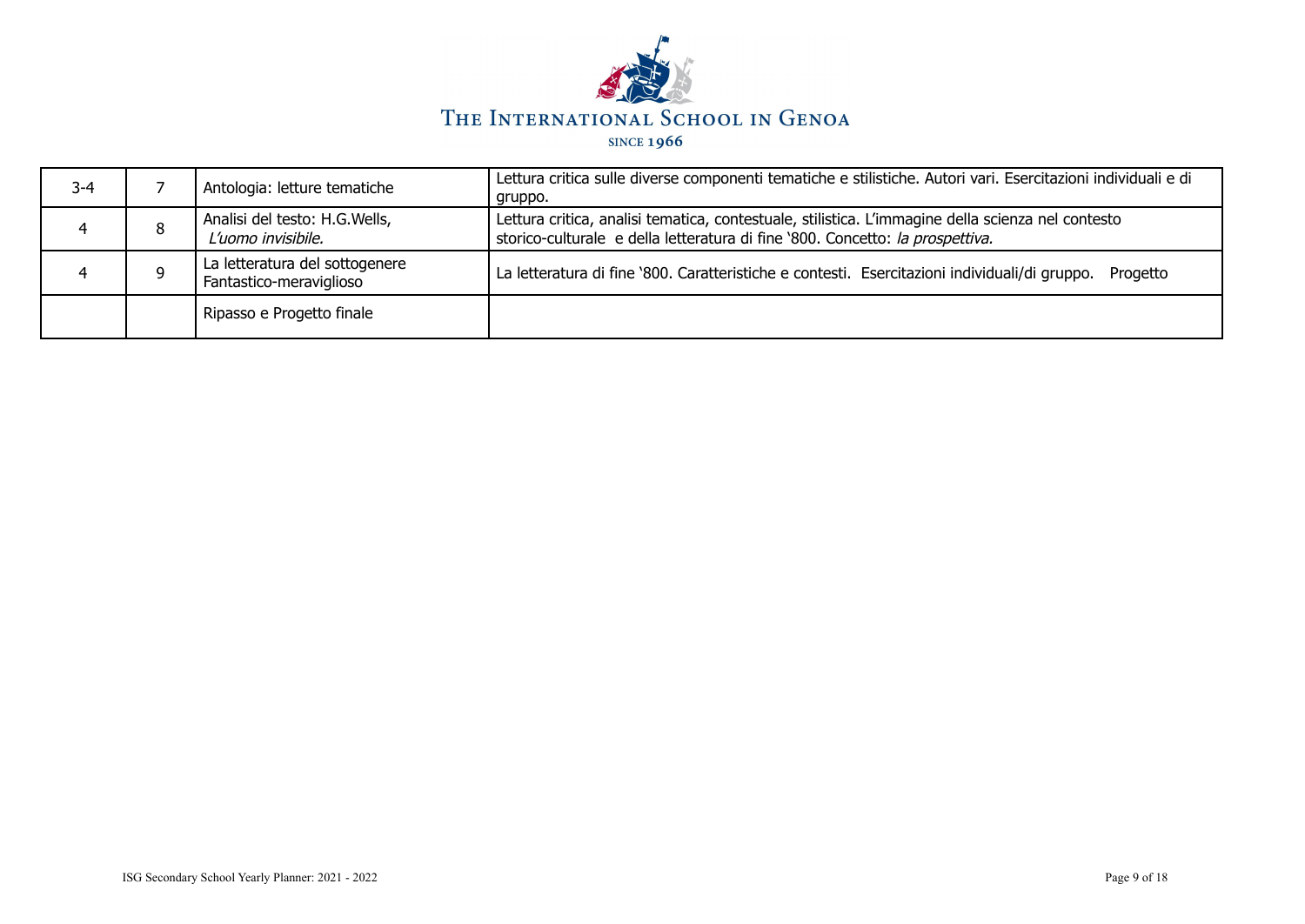

| $3 - 4$ |   | Antologia: letture tematiche                              | Lettura critica sulle diverse componenti tematiche e stilistiche. Autori vari. Esercitazioni individuali e di<br>gruppo.                                                           |
|---------|---|-----------------------------------------------------------|------------------------------------------------------------------------------------------------------------------------------------------------------------------------------------|
|         | 8 | Analisi del testo: H.G.Wells,<br>L'uomo invisibile.       | Lettura critica, analisi tematica, contestuale, stilistica. L'immagine della scienza nel contesto<br>storico-culturale e della letteratura di fine '800. Concetto: la prospettiva. |
|         |   | La letteratura del sottogenere<br>Fantastico-meraviglioso | La letteratura di fine '800. Caratteristiche e contesti. Esercitazioni individuali/di gruppo.<br>Progetto                                                                          |
|         |   | Ripasso e Progetto finale                                 |                                                                                                                                                                                    |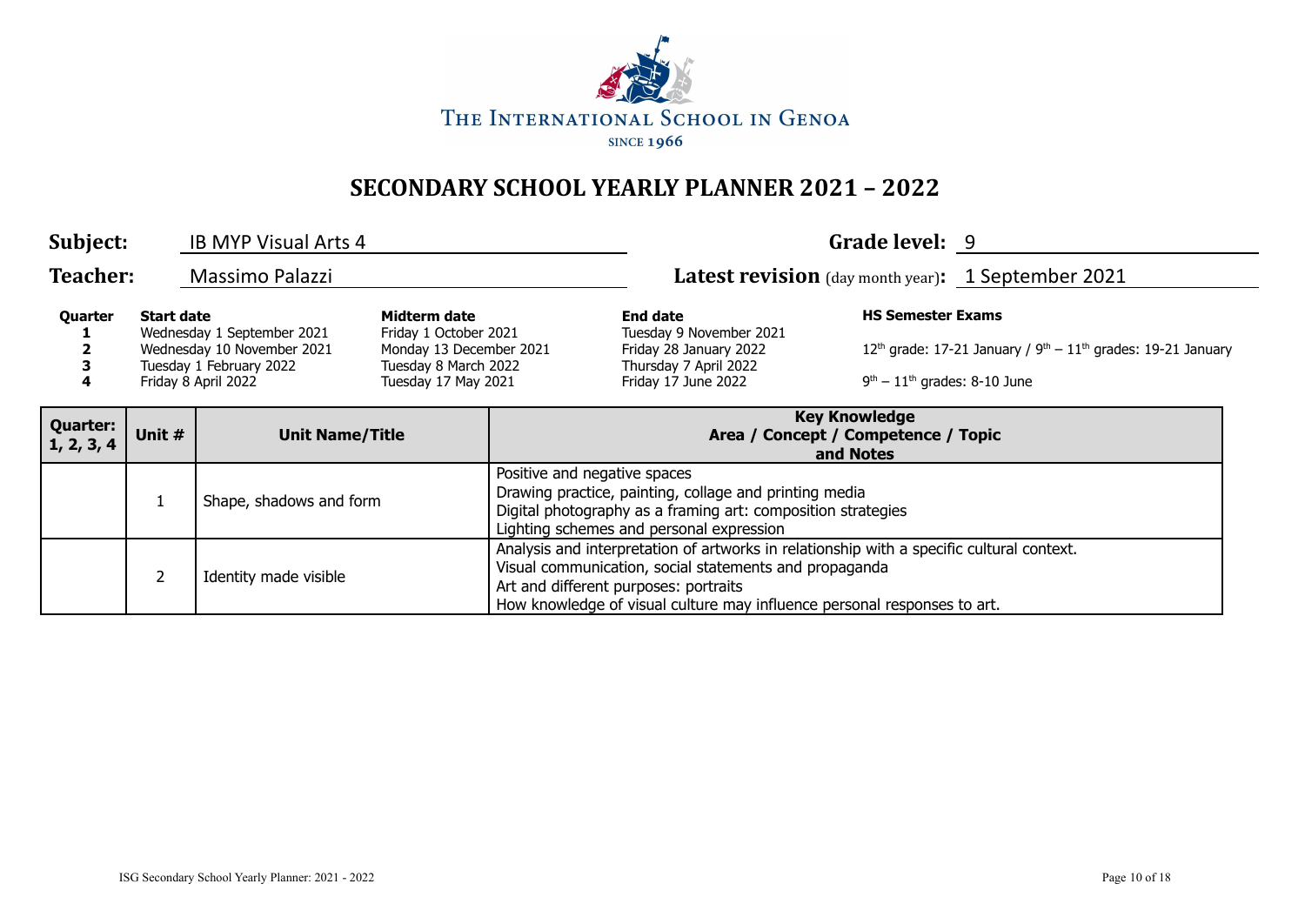

| Subject:                      |                   | <b>IB MYP Visual Arts 4</b>                                                                                |                                                                                                                 |                                                                                                                                                                                                    |                                                                                                                                                                                                                                                                          | Grade level: 9                                                           |                                                    |
|-------------------------------|-------------------|------------------------------------------------------------------------------------------------------------|-----------------------------------------------------------------------------------------------------------------|----------------------------------------------------------------------------------------------------------------------------------------------------------------------------------------------------|--------------------------------------------------------------------------------------------------------------------------------------------------------------------------------------------------------------------------------------------------------------------------|--------------------------------------------------------------------------|----------------------------------------------------|
| <b>Teacher:</b>               |                   | <b>Massimo Palazzi</b>                                                                                     |                                                                                                                 |                                                                                                                                                                                                    |                                                                                                                                                                                                                                                                          |                                                                          | Latest revision (day month year): 1 September 2021 |
| Quarter<br>4                  | <b>Start date</b> | Wednesday 1 September 2021<br>Wednesday 10 November 2021<br>Tuesday 1 February 2022<br>Friday 8 April 2022 | Midterm date<br>Friday 1 October 2021<br>Monday 13 December 2021<br>Tuesday 8 March 2022<br>Tuesday 17 May 2021 | <b>HS Semester Exams</b><br><b>End date</b><br>Tuesday 9 November 2021<br>Friday 28 January 2022<br>Thursday 7 April 2022<br>Friday 17 June 2022<br>$9th - 11th$ grades: 8-10 June                 |                                                                                                                                                                                                                                                                          | $12th$ grade: 17-21 January / $9th - 11th$ grades: 19-21 January         |                                                    |
| <b>Quarter:</b><br>1, 2, 3, 4 | Unit #            | <b>Unit Name/Title</b>                                                                                     |                                                                                                                 |                                                                                                                                                                                                    |                                                                                                                                                                                                                                                                          | <b>Key Knowledge</b><br>Area / Concept / Competence / Topic<br>and Notes |                                                    |
|                               |                   | Shape, shadows and form                                                                                    |                                                                                                                 | Positive and negative spaces<br>Drawing practice, painting, collage and printing media<br>Digital photography as a framing art: composition strategies<br>Lighting schemes and personal expression |                                                                                                                                                                                                                                                                          |                                                                          |                                                    |
|                               |                   | Identity made visible                                                                                      |                                                                                                                 |                                                                                                                                                                                                    | Analysis and interpretation of artworks in relationship with a specific cultural context.<br>Visual communication, social statements and propaganda<br>Art and different purposes: portraits<br>How knowledge of visual culture may influence personal responses to art. |                                                                          |                                                    |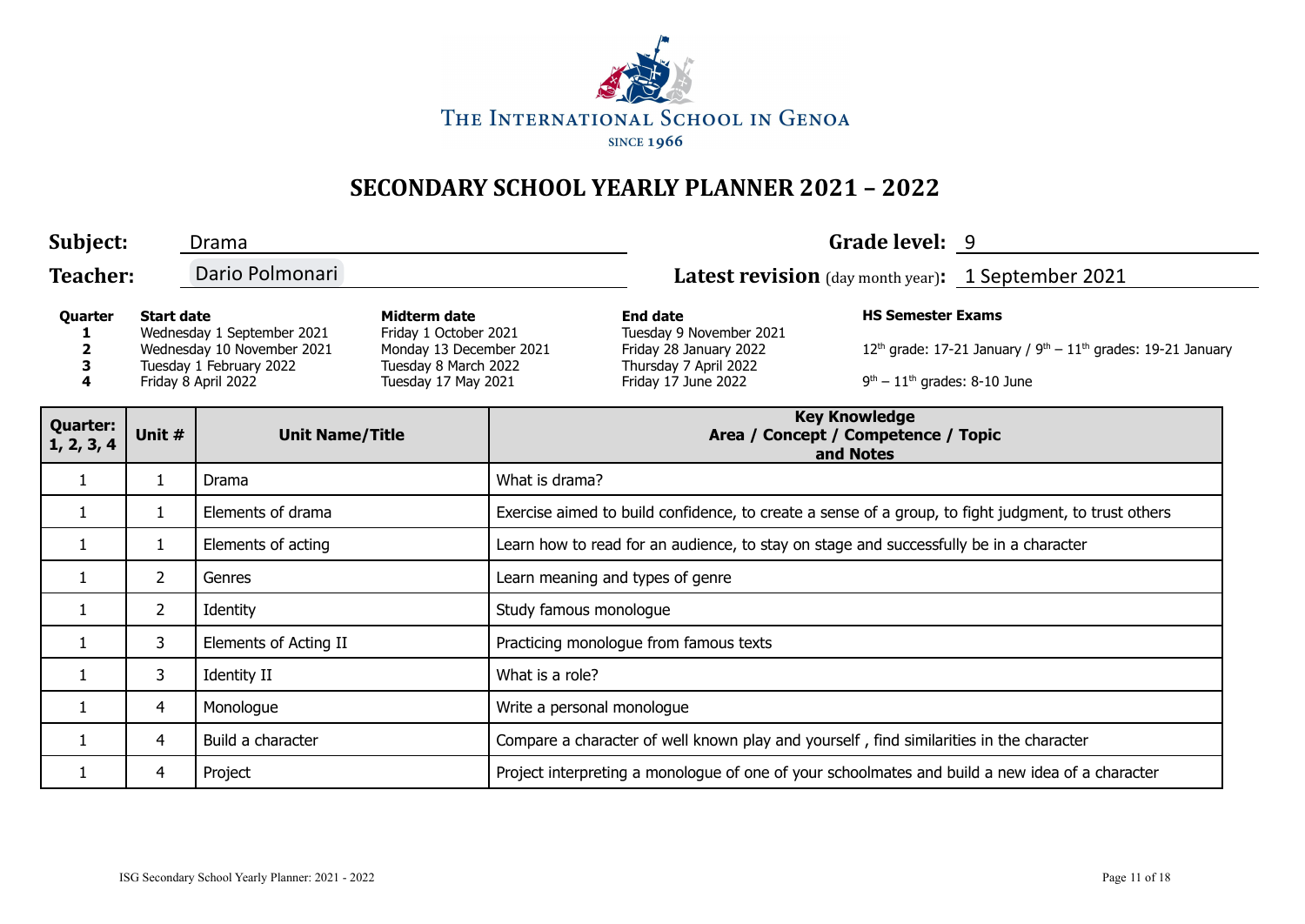

| Subject:                                                                                                                                                                                                                                                           |                | Drama                  |                                                                                                                      |                                                                                                      |                                                                                         | Grade level: 9 |                                                                                                 |
|--------------------------------------------------------------------------------------------------------------------------------------------------------------------------------------------------------------------------------------------------------------------|----------------|------------------------|----------------------------------------------------------------------------------------------------------------------|------------------------------------------------------------------------------------------------------|-----------------------------------------------------------------------------------------|----------------|-------------------------------------------------------------------------------------------------|
| <b>Teacher:</b>                                                                                                                                                                                                                                                    |                | Dario Polmonari        |                                                                                                                      |                                                                                                      | <b>Latest revision</b> (day month year): 1 September 2021                               |                |                                                                                                 |
| <b>Start date</b><br>Midterm date<br>Quarter<br>Wednesday 1 September 2021<br>Friday 1 October 2021<br>Wednesday 10 November 2021<br>Monday 13 December 2021<br>Tuesday 1 February 2022<br>Tuesday 8 March 2022<br>Tuesday 17 May 2021<br>Friday 8 April 2022<br>4 |                |                        | <b>End date</b><br>Tuesday 9 November 2021<br>Friday 28 January 2022<br>Thursday 7 April 2022<br>Friday 17 June 2022 | <b>HS Semester Exams</b><br>$9th - 11th$ grades: 8-10 June                                           | $12^{th}$ grade: 17-21 January / $9^{th} - 11^{th}$ grades: 19-21 January               |                |                                                                                                 |
| <b>Quarter:</b><br>1, 2, 3, 4                                                                                                                                                                                                                                      | Unit #         | <b>Unit Name/Title</b> |                                                                                                                      | <b>Key Knowledge</b><br>Area / Concept / Competence / Topic<br>and Notes                             |                                                                                         |                |                                                                                                 |
| 1                                                                                                                                                                                                                                                                  | $\mathbf{1}$   | Drama                  |                                                                                                                      | What is drama?                                                                                       |                                                                                         |                |                                                                                                 |
| $\mathbf{1}$                                                                                                                                                                                                                                                       | 1              | Elements of drama      |                                                                                                                      | Exercise aimed to build confidence, to create a sense of a group, to fight judgment, to trust others |                                                                                         |                |                                                                                                 |
| 1                                                                                                                                                                                                                                                                  | 1              | Elements of acting     |                                                                                                                      | Learn how to read for an audience, to stay on stage and successfully be in a character               |                                                                                         |                |                                                                                                 |
| 1                                                                                                                                                                                                                                                                  | $\overline{2}$ | Genres                 |                                                                                                                      | Learn meaning and types of genre                                                                     |                                                                                         |                |                                                                                                 |
| 1                                                                                                                                                                                                                                                                  | $\overline{2}$ | Identity               |                                                                                                                      | Study famous monologue                                                                               |                                                                                         |                |                                                                                                 |
|                                                                                                                                                                                                                                                                    | 3              | Elements of Acting II  |                                                                                                                      |                                                                                                      | Practicing monologue from famous texts                                                  |                |                                                                                                 |
| 1                                                                                                                                                                                                                                                                  | 3              | Identity II            |                                                                                                                      | What is a role?                                                                                      |                                                                                         |                |                                                                                                 |
|                                                                                                                                                                                                                                                                    | 4              | Monologue              |                                                                                                                      | Write a personal monologue                                                                           |                                                                                         |                |                                                                                                 |
|                                                                                                                                                                                                                                                                    | 4              | Build a character      |                                                                                                                      |                                                                                                      | Compare a character of well known play and yourself, find similarities in the character |                |                                                                                                 |
| 1                                                                                                                                                                                                                                                                  | 4              | Project                |                                                                                                                      |                                                                                                      |                                                                                         |                | Project interpreting a monologue of one of your schoolmates and build a new idea of a character |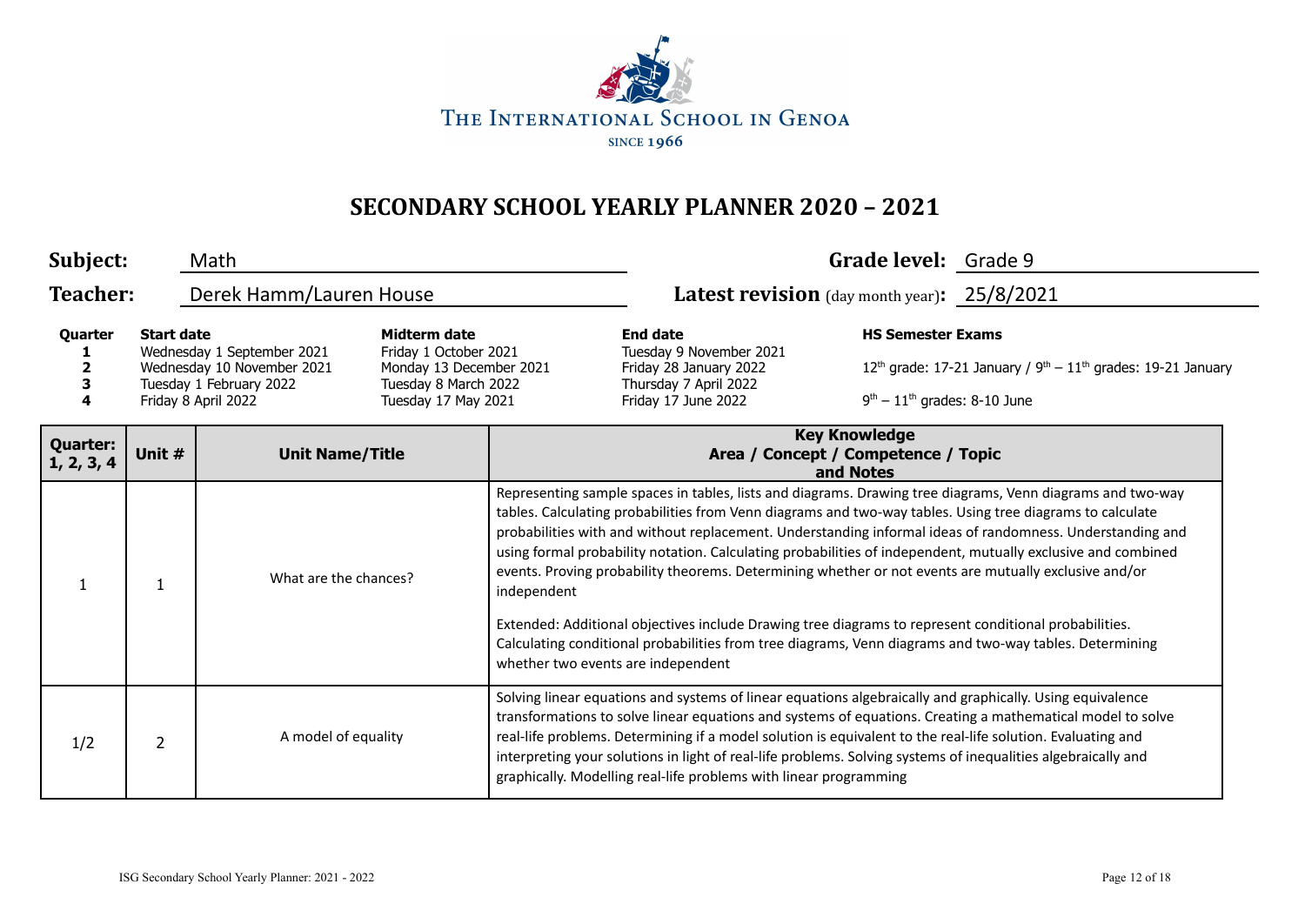

| Subject:                                                                                                                                                                                                                                                                  |                | Math                    |                                                                                                                                                                                                                                                        |                                                                                                                                                                                                                                                                                                                                                                                                                                                                                                                                                                                                                                                                                                                                                                                                                         | Grade level: Grade 9 |  |
|---------------------------------------------------------------------------------------------------------------------------------------------------------------------------------------------------------------------------------------------------------------------------|----------------|-------------------------|--------------------------------------------------------------------------------------------------------------------------------------------------------------------------------------------------------------------------------------------------------|-------------------------------------------------------------------------------------------------------------------------------------------------------------------------------------------------------------------------------------------------------------------------------------------------------------------------------------------------------------------------------------------------------------------------------------------------------------------------------------------------------------------------------------------------------------------------------------------------------------------------------------------------------------------------------------------------------------------------------------------------------------------------------------------------------------------------|----------------------|--|
| <b>Teacher:</b>                                                                                                                                                                                                                                                           |                | Derek Hamm/Lauren House |                                                                                                                                                                                                                                                        | Latest revision (day month year): 25/8/2021                                                                                                                                                                                                                                                                                                                                                                                                                                                                                                                                                                                                                                                                                                                                                                             |                      |  |
| <b>Midterm date</b><br><b>Start date</b><br>Quarter<br>Wednesday 1 September 2021<br>Friday 1 October 2021<br>Wednesday 10 November 2021<br>Monday 13 December 2021<br>Tuesday 1 February 2022<br>Tuesday 8 March 2022<br>4<br>Friday 8 April 2022<br>Tuesday 17 May 2021 |                |                         | <b>HS Semester Exams</b><br><b>End date</b><br>Tuesday 9 November 2021<br>$12th$ grade: 17-21 January / $9th - 11th$ grades: 19-21 January<br>Friday 28 January 2022<br>Thursday 7 April 2022<br>$9th - 11th$ grades: 8-10 June<br>Friday 17 June 2022 |                                                                                                                                                                                                                                                                                                                                                                                                                                                                                                                                                                                                                                                                                                                                                                                                                         |                      |  |
| <b>Quarter:</b><br>1, 2, 3, 4                                                                                                                                                                                                                                             | Unit #         | <b>Unit Name/Title</b>  |                                                                                                                                                                                                                                                        | <b>Key Knowledge</b><br>Area / Concept / Competence / Topic<br>and Notes                                                                                                                                                                                                                                                                                                                                                                                                                                                                                                                                                                                                                                                                                                                                                |                      |  |
|                                                                                                                                                                                                                                                                           |                | What are the chances?   | independent                                                                                                                                                                                                                                            | Representing sample spaces in tables, lists and diagrams. Drawing tree diagrams, Venn diagrams and two-way<br>tables. Calculating probabilities from Venn diagrams and two-way tables. Using tree diagrams to calculate<br>probabilities with and without replacement. Understanding informal ideas of randomness. Understanding and<br>using formal probability notation. Calculating probabilities of independent, mutually exclusive and combined<br>events. Proving probability theorems. Determining whether or not events are mutually exclusive and/or<br>Extended: Additional objectives include Drawing tree diagrams to represent conditional probabilities.<br>Calculating conditional probabilities from tree diagrams, Venn diagrams and two-way tables. Determining<br>whether two events are independent |                      |  |
| 1/2                                                                                                                                                                                                                                                                       | $\overline{2}$ | A model of equality     |                                                                                                                                                                                                                                                        | Solving linear equations and systems of linear equations algebraically and graphically. Using equivalence<br>transformations to solve linear equations and systems of equations. Creating a mathematical model to solve<br>real-life problems. Determining if a model solution is equivalent to the real-life solution. Evaluating and<br>interpreting your solutions in light of real-life problems. Solving systems of inequalities algebraically and<br>graphically. Modelling real-life problems with linear programming                                                                                                                                                                                                                                                                                            |                      |  |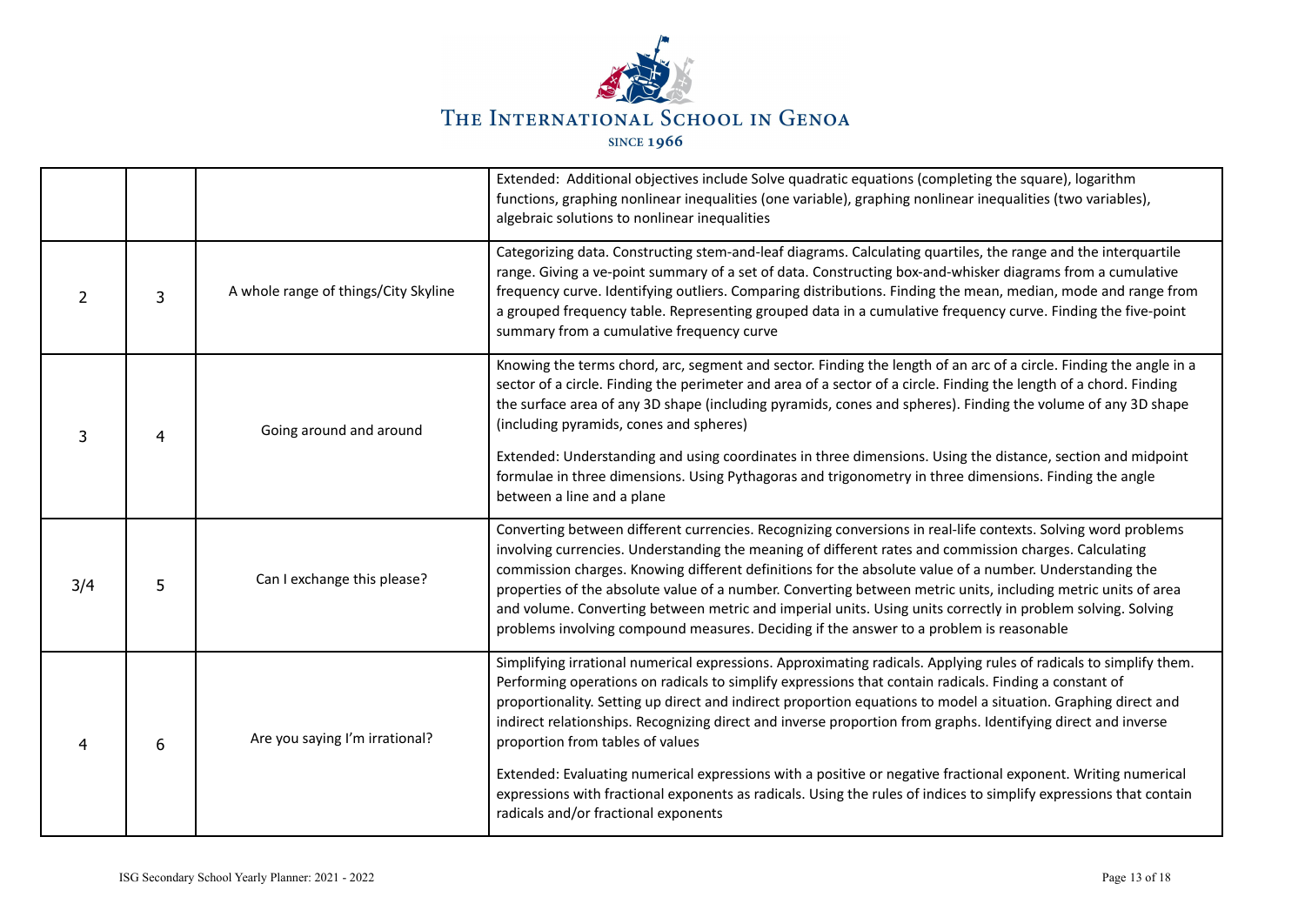

|     |   |                                      | Extended: Additional objectives include Solve quadratic equations (completing the square), logarithm<br>functions, graphing nonlinear inequalities (one variable), graphing nonlinear inequalities (two variables),<br>algebraic solutions to nonlinear inequalities                                                                                                                                                                                                                                                                                                                                                                                          |  |  |  |  |
|-----|---|--------------------------------------|---------------------------------------------------------------------------------------------------------------------------------------------------------------------------------------------------------------------------------------------------------------------------------------------------------------------------------------------------------------------------------------------------------------------------------------------------------------------------------------------------------------------------------------------------------------------------------------------------------------------------------------------------------------|--|--|--|--|
| 2   | 3 | A whole range of things/City Skyline | Categorizing data. Constructing stem-and-leaf diagrams. Calculating quartiles, the range and the interquartile<br>range. Giving a ve-point summary of a set of data. Constructing box-and-whisker diagrams from a cumulative<br>frequency curve. Identifying outliers. Comparing distributions. Finding the mean, median, mode and range from<br>a grouped frequency table. Representing grouped data in a cumulative frequency curve. Finding the five-point<br>summary from a cumulative frequency curve                                                                                                                                                    |  |  |  |  |
| 3   | 4 | Going around and around              | Knowing the terms chord, arc, segment and sector. Finding the length of an arc of a circle. Finding the angle in a<br>sector of a circle. Finding the perimeter and area of a sector of a circle. Finding the length of a chord. Finding<br>the surface area of any 3D shape (including pyramids, cones and spheres). Finding the volume of any 3D shape<br>(including pyramids, cones and spheres)                                                                                                                                                                                                                                                           |  |  |  |  |
|     |   |                                      | Extended: Understanding and using coordinates in three dimensions. Using the distance, section and midpoint<br>formulae in three dimensions. Using Pythagoras and trigonometry in three dimensions. Finding the angle<br>between a line and a plane                                                                                                                                                                                                                                                                                                                                                                                                           |  |  |  |  |
| 3/4 | 5 | Can I exchange this please?          | Converting between different currencies. Recognizing conversions in real-life contexts. Solving word problems<br>involving currencies. Understanding the meaning of different rates and commission charges. Calculating<br>commission charges. Knowing different definitions for the absolute value of a number. Understanding the<br>properties of the absolute value of a number. Converting between metric units, including metric units of area<br>and volume. Converting between metric and imperial units. Using units correctly in problem solving. Solving<br>problems involving compound measures. Deciding if the answer to a problem is reasonable |  |  |  |  |
|     | 6 | Are you saying I'm irrational?       | Simplifying irrational numerical expressions. Approximating radicals. Applying rules of radicals to simplify them.<br>Performing operations on radicals to simplify expressions that contain radicals. Finding a constant of<br>proportionality. Setting up direct and indirect proportion equations to model a situation. Graphing direct and<br>indirect relationships. Recognizing direct and inverse proportion from graphs. Identifying direct and inverse<br>proportion from tables of values                                                                                                                                                           |  |  |  |  |
|     |   |                                      | Extended: Evaluating numerical expressions with a positive or negative fractional exponent. Writing numerical<br>expressions with fractional exponents as radicals. Using the rules of indices to simplify expressions that contain<br>radicals and/or fractional exponents                                                                                                                                                                                                                                                                                                                                                                                   |  |  |  |  |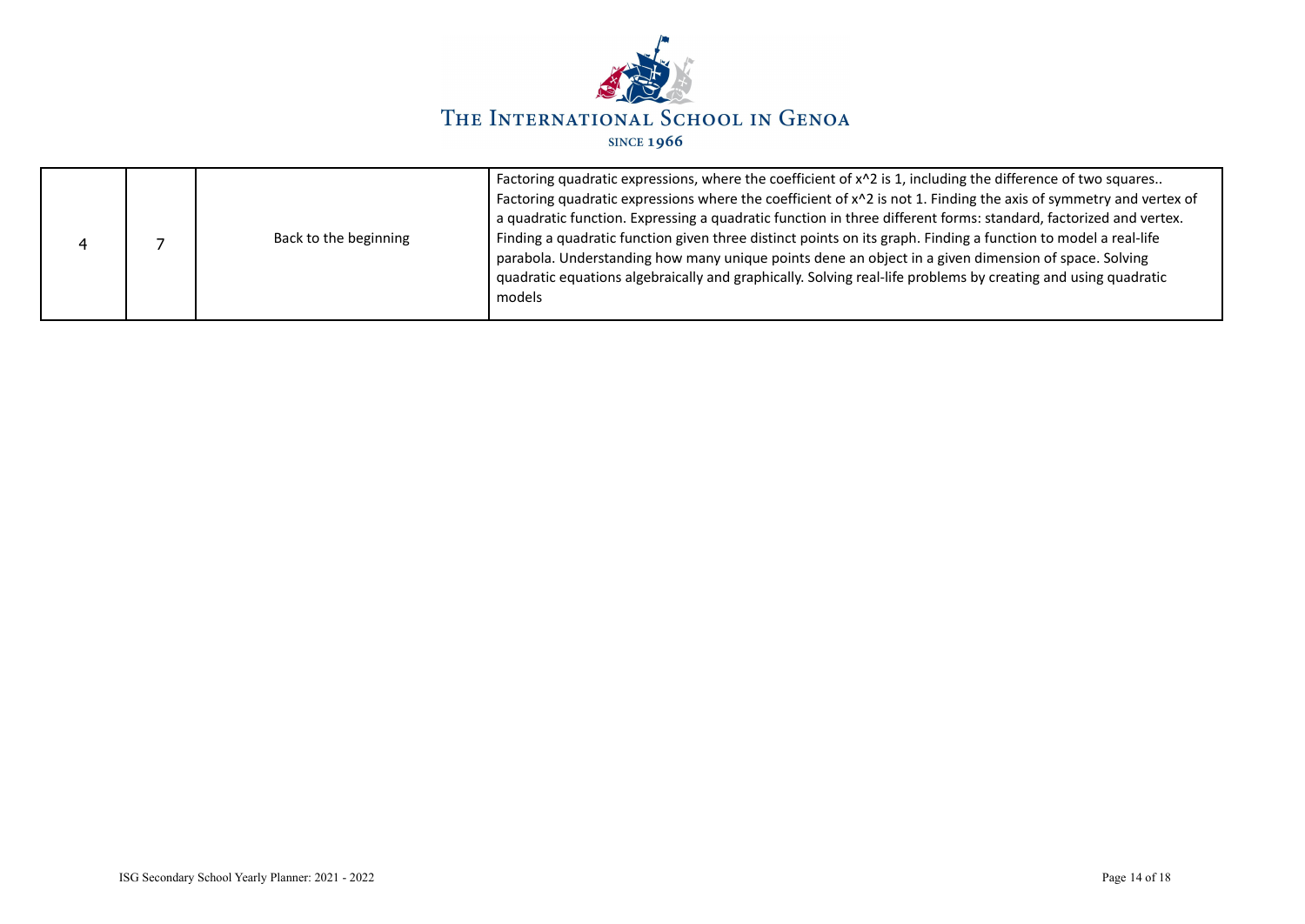

|  |  | Back to the beginning | Factoring quadratic expressions, where the coefficient of x^2 is 1, including the difference of two squares<br>Factoring quadratic expressions where the coefficient of x^2 is not 1. Finding the axis of symmetry and vertex of<br>a quadratic function. Expressing a quadratic function in three different forms: standard, factorized and vertex.<br>Finding a quadratic function given three distinct points on its graph. Finding a function to model a real-life<br>parabola. Understanding how many unique points dene an object in a given dimension of space. Solving<br>quadratic equations algebraically and graphically. Solving real-life problems by creating and using quadratic<br>models |
|--|--|-----------------------|-----------------------------------------------------------------------------------------------------------------------------------------------------------------------------------------------------------------------------------------------------------------------------------------------------------------------------------------------------------------------------------------------------------------------------------------------------------------------------------------------------------------------------------------------------------------------------------------------------------------------------------------------------------------------------------------------------------|
|--|--|-----------------------|-----------------------------------------------------------------------------------------------------------------------------------------------------------------------------------------------------------------------------------------------------------------------------------------------------------------------------------------------------------------------------------------------------------------------------------------------------------------------------------------------------------------------------------------------------------------------------------------------------------------------------------------------------------------------------------------------------------|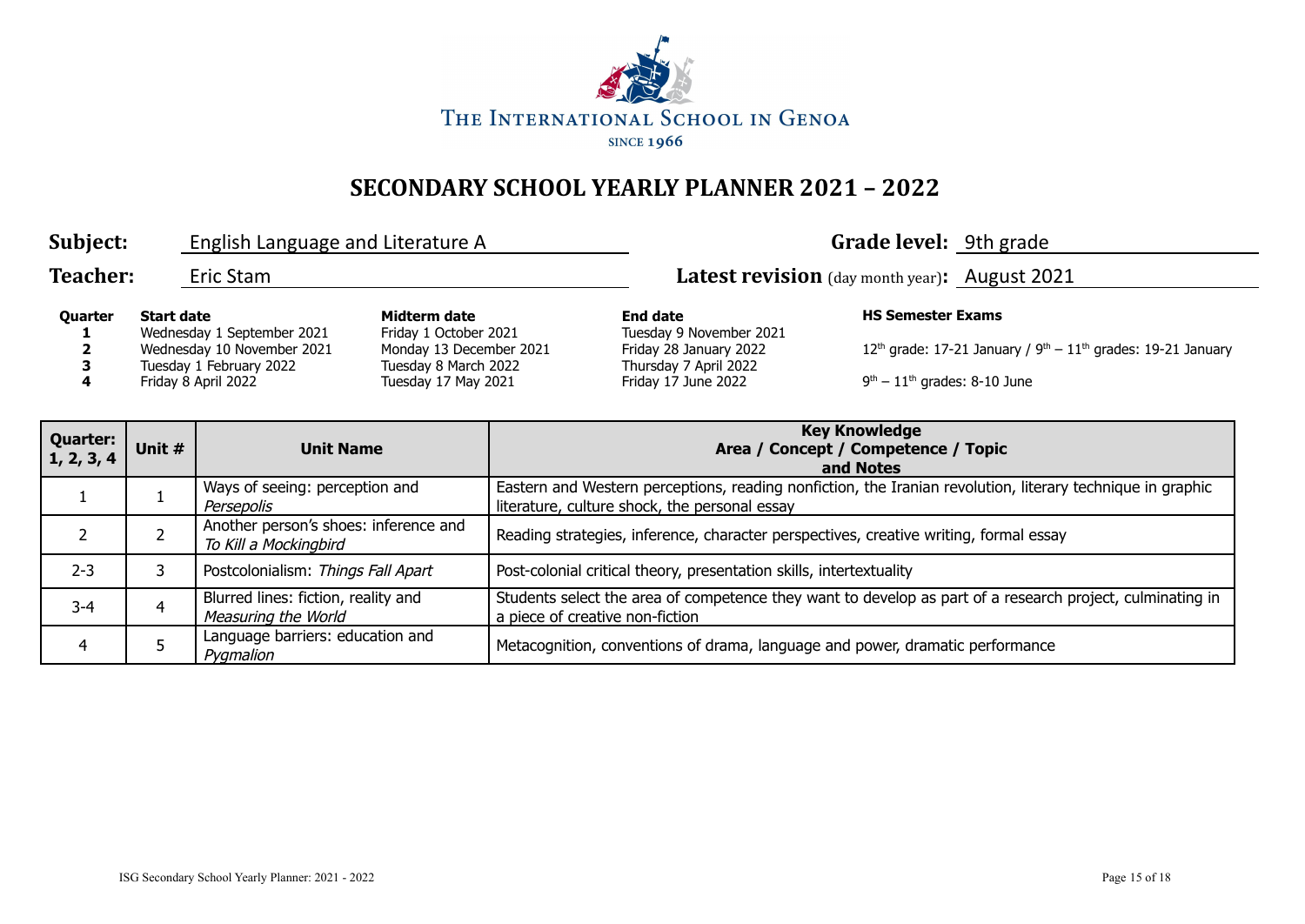

| Subject:            | English Language and Literature A                                                                                               |                                                                                                                 |                                                                                                                      | <b>Grade level:</b> 9th grade                                                                                                            |
|---------------------|---------------------------------------------------------------------------------------------------------------------------------|-----------------------------------------------------------------------------------------------------------------|----------------------------------------------------------------------------------------------------------------------|------------------------------------------------------------------------------------------------------------------------------------------|
| <b>Teacher:</b>     | Eric Stam                                                                                                                       |                                                                                                                 |                                                                                                                      | Latest revision (day month year): August 2021                                                                                            |
| <b>Quarter</b><br>4 | <b>Start date</b><br>Wednesday 1 September 2021<br>Wednesday 10 November 2021<br>Tuesday 1 February 2022<br>Friday 8 April 2022 | Midterm date<br>Friday 1 October 2021<br>Monday 13 December 2021<br>Tuesday 8 March 2022<br>Tuesday 17 May 2021 | <b>End date</b><br>Tuesday 9 November 2021<br>Friday 28 January 2022<br>Thursday 7 April 2022<br>Friday 17 June 2022 | <b>HS Semester Exams</b><br>12 <sup>th</sup> grade: 17-21 January / $9th - 11th$ grades: 19-21 January<br>$9th - 11th$ grades: 8-10 June |

| <b>Quarter:</b><br>1, 2, 3, 4 | Unit # | <b>Unit Name</b>                                               | <b>Key Knowledge</b><br>Area / Concept / Competence / Topic<br>and Notes                                                                                    |  |  |  |
|-------------------------------|--------|----------------------------------------------------------------|-------------------------------------------------------------------------------------------------------------------------------------------------------------|--|--|--|
|                               |        | Ways of seeing: perception and<br>Persepolis                   | Eastern and Western perceptions, reading nonfiction, the Iranian revolution, literary technique in graphic<br>literature, culture shock, the personal essay |  |  |  |
|                               |        | Another person's shoes: inference and<br>To Kill a Mockingbird | Reading strategies, inference, character perspectives, creative writing, formal essay                                                                       |  |  |  |
| $2 - 3$                       |        | Postcolonialism: Things Fall Apart                             | Post-colonial critical theory, presentation skills, intertextuality                                                                                         |  |  |  |
| $3 - 4$                       |        | Blurred lines: fiction, reality and<br>Measuring the World     | Students select the area of competence they want to develop as part of a research project, culminating in<br>a piece of creative non-fiction                |  |  |  |
| 4                             |        | Language barriers: education and<br>Pygmalion                  | Metacognition, conventions of drama, language and power, dramatic performance                                                                               |  |  |  |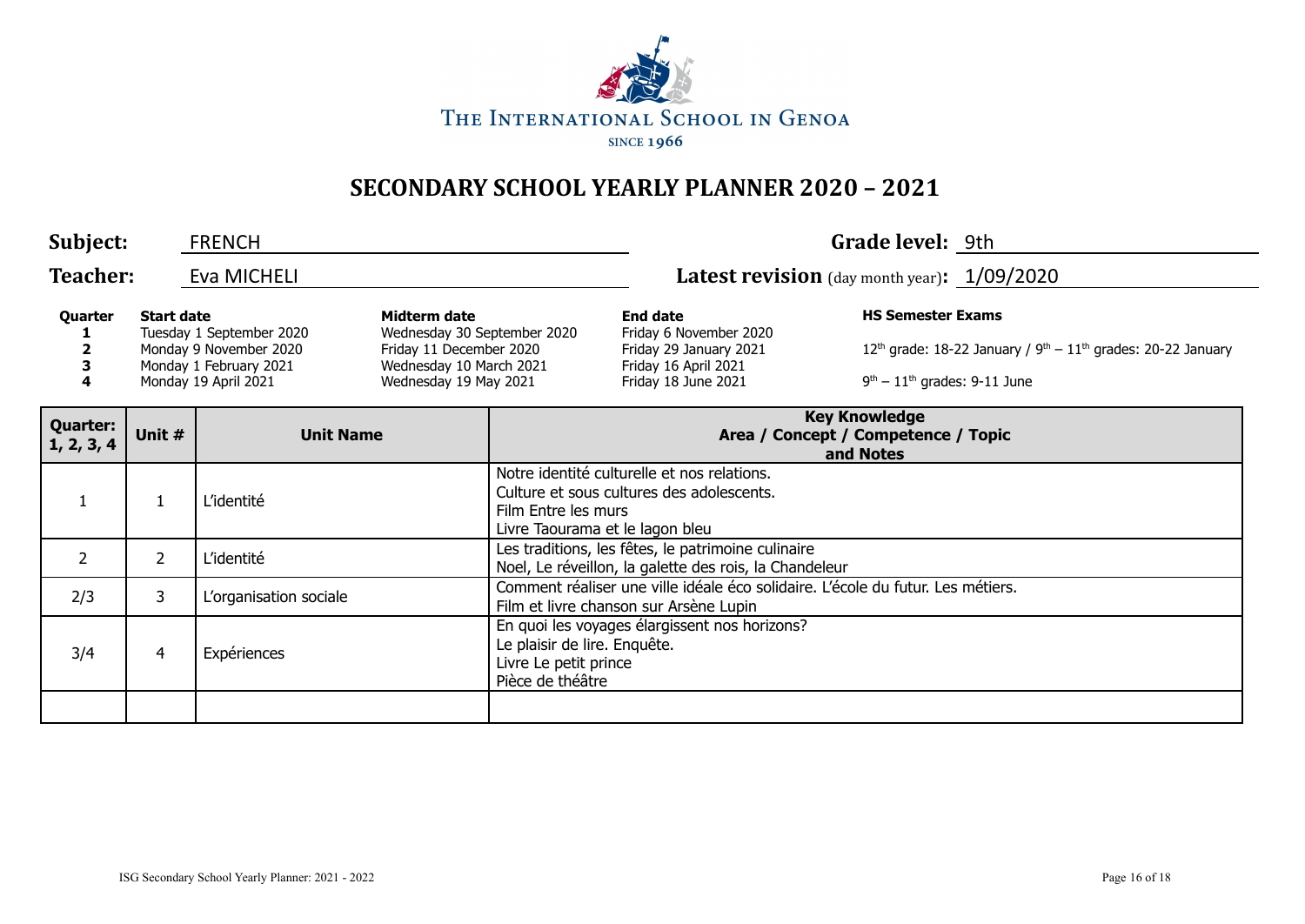

| Subject:                      |                                                                                                                                                                                                                                                         | <b>FRENCH</b>                                                                            |  |                                                                                                                                                                                                                                                                |                                                                                                                                                    | Grade level: 9th                                                         |  |  |
|-------------------------------|---------------------------------------------------------------------------------------------------------------------------------------------------------------------------------------------------------------------------------------------------------|------------------------------------------------------------------------------------------|--|----------------------------------------------------------------------------------------------------------------------------------------------------------------------------------------------------------------------------------------------------------------|----------------------------------------------------------------------------------------------------------------------------------------------------|--------------------------------------------------------------------------|--|--|
| <b>Teacher:</b>               |                                                                                                                                                                                                                                                         | Eva MICHELI                                                                              |  | Latest revision (day month year): 1/09/2020                                                                                                                                                                                                                    |                                                                                                                                                    |                                                                          |  |  |
| Quarter<br>4                  | <b>Start date</b><br>Midterm date<br>Wednesday 30 September 2020<br>Tuesday 1 September 2020<br>Friday 11 December 2020<br>Monday 9 November 2020<br>Wednesday 10 March 2021<br>Monday 1 February 2021<br>Monday 19 April 2021<br>Wednesday 19 May 2021 |                                                                                          |  | <b>HS Semester Exams</b><br><b>End date</b><br>Friday 6 November 2020<br>12 <sup>th</sup> grade: 18-22 January / $9th - 11th$ grades: 20-22 January<br>Friday 29 January 2021<br>Friday 16 April 2021<br>$9th - 11th$ grades: 9-11 June<br>Friday 18 June 2021 |                                                                                                                                                    |                                                                          |  |  |
| <b>Quarter:</b><br>1, 2, 3, 4 | Unit #                                                                                                                                                                                                                                                  | <b>Unit Name</b>                                                                         |  |                                                                                                                                                                                                                                                                |                                                                                                                                                    | <b>Key Knowledge</b><br>Area / Concept / Competence / Topic<br>and Notes |  |  |
|                               |                                                                                                                                                                                                                                                         | L'identité                                                                               |  |                                                                                                                                                                                                                                                                | Notre identité culturelle et nos relations.<br>Culture et sous cultures des adolescents.<br>Film Entre les murs<br>Livre Taourama et le lagon bleu |                                                                          |  |  |
| $\overline{2}$                | $\overline{2}$                                                                                                                                                                                                                                          | L'identité                                                                               |  |                                                                                                                                                                                                                                                                | Les traditions, les fêtes, le patrimoine culinaire<br>Noel, Le réveillon, la galette des rois, la Chandeleur                                       |                                                                          |  |  |
| 2/3                           | 3                                                                                                                                                                                                                                                       | L'organisation sociale                                                                   |  | Comment réaliser une ville idéale éco solidaire. L'école du futur. Les métiers.<br>Film et livre chanson sur Arsène Lupin                                                                                                                                      |                                                                                                                                                    |                                                                          |  |  |
| 3/4                           | 4                                                                                                                                                                                                                                                       | Le plaisir de lire. Enquête.<br>Expériences<br>Livre Le petit prince<br>Pièce de théâtre |  |                                                                                                                                                                                                                                                                | En quoi les voyages élargissent nos horizons?                                                                                                      |                                                                          |  |  |
|                               |                                                                                                                                                                                                                                                         |                                                                                          |  |                                                                                                                                                                                                                                                                |                                                                                                                                                    |                                                                          |  |  |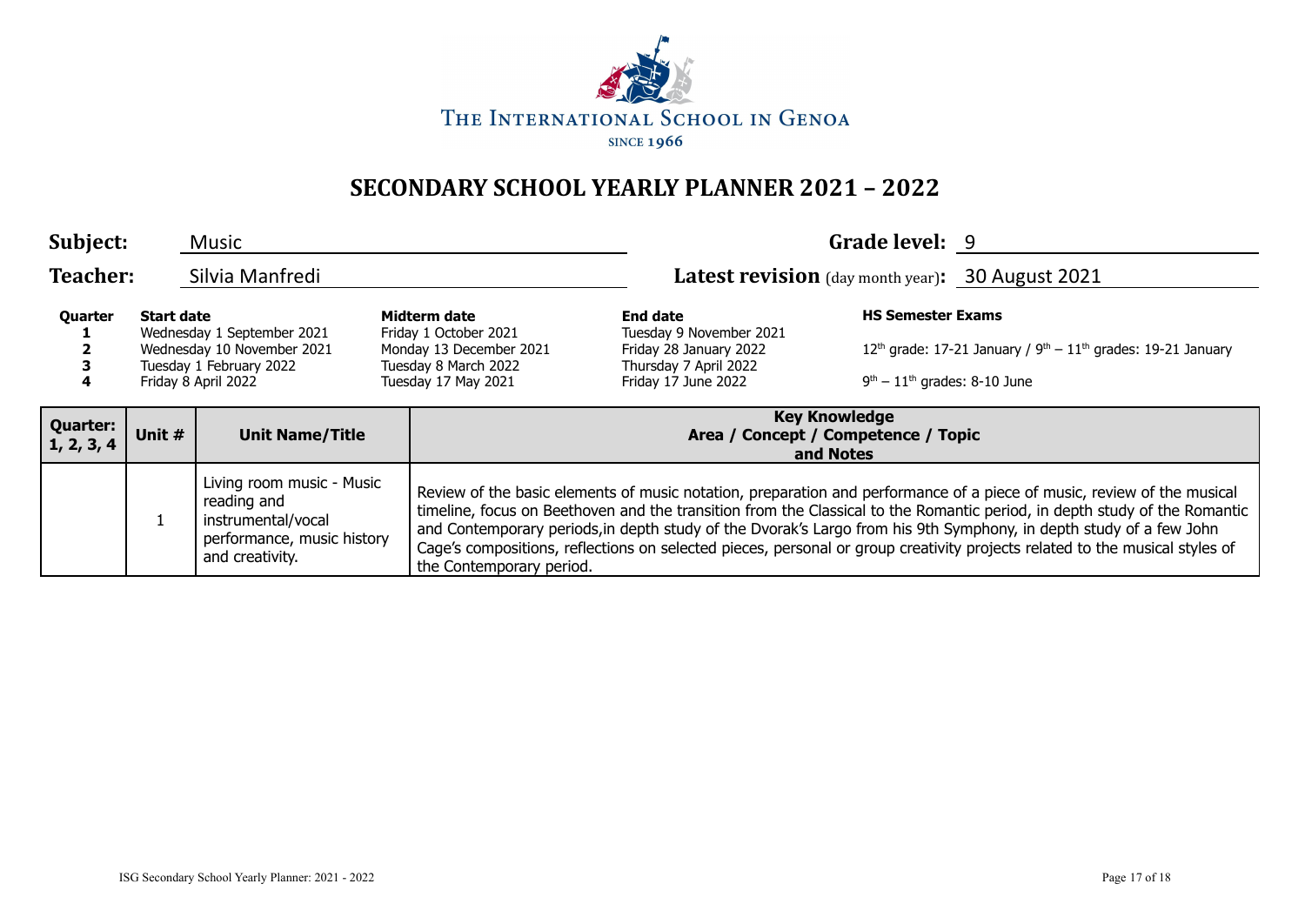

| Subject:                      | <b>Music</b><br>Silvia Manfredi |                                                                                                                 |                                                                                                                 | Grade level: 9                                                                                                                                                                                                                                                                                                                                                                                                                                                                                                                       |                                                                                                                                         |  |  |  |
|-------------------------------|---------------------------------|-----------------------------------------------------------------------------------------------------------------|-----------------------------------------------------------------------------------------------------------------|--------------------------------------------------------------------------------------------------------------------------------------------------------------------------------------------------------------------------------------------------------------------------------------------------------------------------------------------------------------------------------------------------------------------------------------------------------------------------------------------------------------------------------------|-----------------------------------------------------------------------------------------------------------------------------------------|--|--|--|
| <b>Teacher:</b>               |                                 |                                                                                                                 |                                                                                                                 |                                                                                                                                                                                                                                                                                                                                                                                                                                                                                                                                      | Latest revision (day month year): 30 August 2021                                                                                        |  |  |  |
| Quarter                       | <b>Start date</b>               | Wednesday 1 September 2021<br>Wednesday 10 November 2021<br>Tuesday 1 February 2022<br>Friday 8 April 2022      | Midterm date<br>Friday 1 October 2021<br>Monday 13 December 2021<br>Tuesday 8 March 2022<br>Tuesday 17 May 2021 | <b>End date</b><br>Tuesday 9 November 2021<br>Friday 28 January 2022<br>Thursday 7 April 2022<br>Friday 17 June 2022                                                                                                                                                                                                                                                                                                                                                                                                                 | <b>HS Semester Exams</b><br>$12^{th}$ grade: 17-21 January / $9^{th} - 11^{th}$ grades: 19-21 January<br>$9th - 11th$ grades: 8-10 June |  |  |  |
| <b>Quarter:</b><br>1, 2, 3, 4 | Unit #                          | <b>Unit Name/Title</b>                                                                                          |                                                                                                                 | <b>Key Knowledge</b><br>Area / Concept / Competence / Topic<br>and Notes                                                                                                                                                                                                                                                                                                                                                                                                                                                             |                                                                                                                                         |  |  |  |
|                               |                                 | Living room music - Music<br>reading and<br>instrumental/vocal<br>performance, music history<br>and creativity. |                                                                                                                 | Review of the basic elements of music notation, preparation and performance of a piece of music, review of the musical<br>timeline, focus on Beethoven and the transition from the Classical to the Romantic period, in depth study of the Romantic<br>and Contemporary periods, in depth study of the Dvorak's Largo from his 9th Symphony, in depth study of a few John<br>Cage's compositions, reflections on selected pieces, personal or group creativity projects related to the musical styles of<br>the Contemporary period. |                                                                                                                                         |  |  |  |